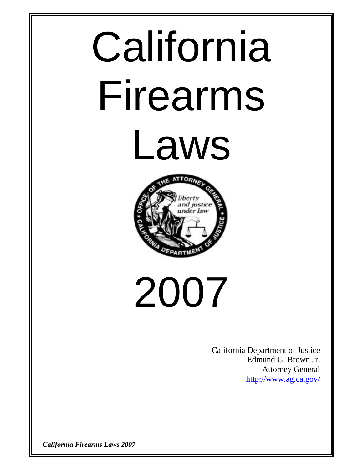# California Firearms Laws



2007

California Department of Justice Edmund G. Brown Jr. Attorney General http://www.ag.ca.gov/

*California Firearms Laws 2007*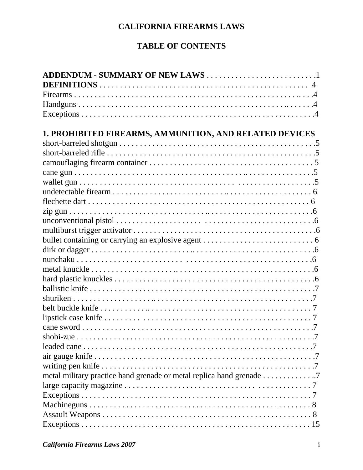# **CALIFORNIA FIREARMS LAWS**

# **TABLE OF CONTENTS**

| 1. PROHIBITED FIREARMS, AMMUNITION, AND RELATED DEVICES              |  |
|----------------------------------------------------------------------|--|
|                                                                      |  |
|                                                                      |  |
|                                                                      |  |
|                                                                      |  |
|                                                                      |  |
|                                                                      |  |
|                                                                      |  |
|                                                                      |  |
|                                                                      |  |
|                                                                      |  |
|                                                                      |  |
|                                                                      |  |
|                                                                      |  |
|                                                                      |  |
|                                                                      |  |
|                                                                      |  |
|                                                                      |  |
|                                                                      |  |
|                                                                      |  |
|                                                                      |  |
|                                                                      |  |
|                                                                      |  |
|                                                                      |  |
|                                                                      |  |
| metal military practice hand grenade or metal replica hand grenade 7 |  |
|                                                                      |  |
|                                                                      |  |
|                                                                      |  |
|                                                                      |  |
|                                                                      |  |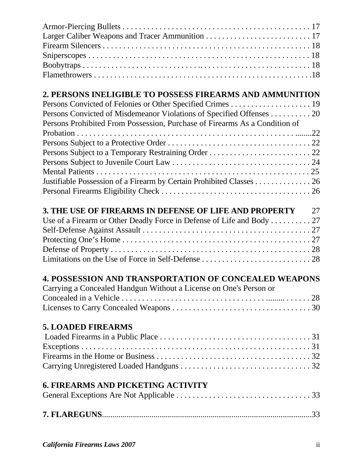| 2. PERSONS INELIGIBLE TO POSSESS FIREARMS AND AMMUNITION                   |  |
|----------------------------------------------------------------------------|--|
|                                                                            |  |
| Persons Convicted of Misdemeanor Violations of Specified Offenses 20       |  |
| Persons Prohibited From Possession, Purchase of Firearms As a Condition of |  |
|                                                                            |  |
|                                                                            |  |
|                                                                            |  |
|                                                                            |  |
|                                                                            |  |
| Justifiable Possession of a Firearm by Certain Prohibited Classes  26      |  |
|                                                                            |  |
|                                                                            |  |
| <b>3. THE USE OF FIREARMS IN DEFENSE OF LIFE AND PROPERTY 27</b>           |  |
| Use of a Firearm or Other Deadly Force in Defense of Life and Body 27      |  |
|                                                                            |  |
|                                                                            |  |
|                                                                            |  |
|                                                                            |  |
|                                                                            |  |
| <b>4. POSSESSION AND TRANSPORTATION OF CONCEALED WEAPONS</b>               |  |
| Carrying a Concealed Handgun Without a License on One's Person or          |  |
|                                                                            |  |
|                                                                            |  |
|                                                                            |  |
| <b>5. LOADED FIREARMS</b>                                                  |  |
|                                                                            |  |
|                                                                            |  |
|                                                                            |  |
|                                                                            |  |
|                                                                            |  |
| <b>6. FIREARMS AND PICKETING ACTIVITY</b>                                  |  |
|                                                                            |  |
|                                                                            |  |
|                                                                            |  |
|                                                                            |  |
|                                                                            |  |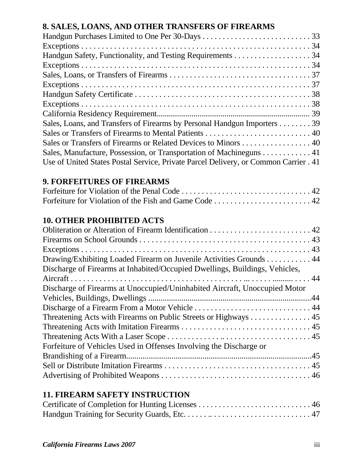# **8. SALES, LOANS, AND OTHER TRANSFERS OF FIREARMS**

# **9. FORFEITURES OF FIREARMS**

# **10. OTHER PROHIBITED ACTS**

| Drawing/Exhibiting Loaded Firearm on Juvenile Activities Grounds 44         |  |
|-----------------------------------------------------------------------------|--|
| Discharge of Firearms at Inhabited/Occupied Dwellings, Buildings, Vehicles, |  |
|                                                                             |  |
| Discharge of Firearms at Unoccupied/Uninhabited Aircraft, Unoccupied Motor  |  |
|                                                                             |  |
|                                                                             |  |
| Threatening Acts with Firearms on Public Streets or Highways 45             |  |
|                                                                             |  |
|                                                                             |  |
| Forfeiture of Vehicles Used in Offenses Involving the Discharge or          |  |
|                                                                             |  |
|                                                                             |  |
|                                                                             |  |

# **11. FIREARM SAFETY INSTRUCTION**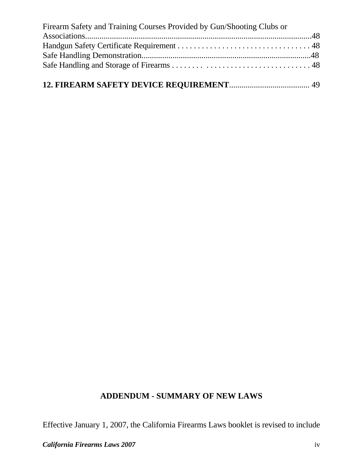| Firearm Safety and Training Courses Provided by Gun/Shooting Clubs or |  |
|-----------------------------------------------------------------------|--|
|                                                                       |  |
|                                                                       |  |
|                                                                       |  |
|                                                                       |  |
|                                                                       |  |

# **ADDENDUM - SUMMARY OF NEW LAWS**

Effective January 1, 2007, the California Firearms Laws booklet is revised to include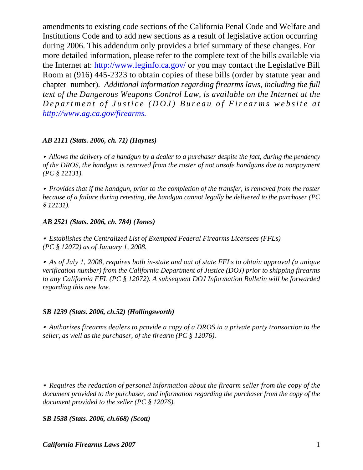amendments to existing code sections of the California Penal Code and Welfare and Institutions Code and to add new sections as a result of legislative action occurring during 2006. This addendum only provides a brief summary of these changes. For more detailed information, please refer to the complete text of the bills available via the Internet at: http://www.leginfo.ca.gov/ or you may contact the Legislative Bill Room at (916) 445-2323 to obtain copies of these bills (order by statute year and chapter number). *Additional information regarding firearms laws, including the full text of the Dangerous Weapons Control Law, is available on the Internet at the Department of Justice (DOJ) Bureau of Firearms website at http://www.ag.ca.gov/firearms.*

#### *AB 2111 (Stats. 2006, ch. 71) (Haynes)*

• Allows the delivery of a handgun by a dealer to a purchaser despite the fact, during the pendency *of the DROS, the handgun is removed from the roster of not unsafe handguns due to nonpayment (PC § 12131).*

• Provides that if the handgun, prior to the completion of the transfer, is removed from the roster *because of a failure during retesting, the handgun cannot legally be delivered to the purchaser (PC § 12131).*

*AB 2521 (Stats. 2006, ch. 784) (Jones)*

<sup>C</sup>*Establishes the Centralized List of Exempted Federal Firearms Licensees (FFLs) (PC § 12072) as of January 1, 2008.*

<sup>C</sup>*As of July 1, 2008, requires both in-state and out of state FFLs to obtain approval (a unique verification number) from the California Department of Justice (DOJ) prior to shipping firearms to any California FFL (PC § 12072). A subsequent DOJ Information Bulletin will be forwarded regarding this new law.*

#### *SB 1239 (Stats. 2006, ch.52) (Hollingsworth)*

• Authorizes firearms dealers to provide a copy of a DROS in a private party transaction to the *seller, as well as the purchaser, of the firearm (PC § 12076).*

• Requires the redaction of personal information about the firearm seller from the copy of the *document provided to the purchaser, and information regarding the purchaser from the copy of the document provided to the seller (PC § 12076).*

*SB 1538 (Stats. 2006, ch.668) (Scott)*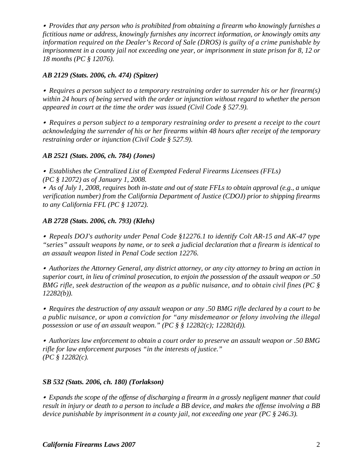• Provides that any person who is prohibited from obtaining a firearm who knowingly furnishes a *fictitious name or address, knowingly furnishes any incorrect information, or knowingly omits any information required on the Dealer's Record of Sale (DROS) is guilty of a crime punishable by imprisonment in a county jail not exceeding one year, or imprisonment in state prison for 8, 12 or 18 months (PC § 12076).*

#### *AB 2129 (Stats. 2006, ch. 474) (Spitzer)*

• Requires a person subject to a temporary restraining order to surrender his or her firearm(s) *within 24 hours of being served with the order or injunction without regard to whether the person appeared in court at the time the order was issued (Civil Code § 527.9).*

<sup>C</sup>*Requires a person subject to a temporary restraining order to present a receipt to the court acknowledging the surrender of his or her firearms within 48 hours after receipt of the temporary restraining order or injunction (Civil Code § 527.9).*

#### *AB 2521 (Stats. 2006, ch. 784) (Jones)*

**• Establishes the Centralized List of Exempted Federal Firearms Licensees (FFLs)** *(PC § 12072) as of January 1, 2008.*

<sup>C</sup>*As of July 1, 2008, requires both in-state and out of state FFLs to obtain approval (e.g., a unique verification number) from the California Department of Justice (CDOJ) prior to shipping firearms to any California FFL (PC § 12072).*

#### *AB 2728 (Stats. 2006, ch. 793) (Klehs)*

<sup>C</sup>*Repeals DOJ's authority under Penal Code §12276.1 to identify Colt AR-15 and AK-47 type "series" assault weapons by name, or to seek a judicial declaration that a firearm is identical to an assault weapon listed in Penal Code section 12276.*

<sup>C</sup>*Authorizes the Attorney General, any district attorney, or any city attorney to bring an action in superior court, in lieu of criminal prosecution, to enjoin the possession of the assault weapon or .50 BMG rifle, seek destruction of the weapon as a public nuisance, and to obtain civil fines (PC § 12282(b)).*

• Requires the destruction of any assault weapon or any .50 BMG rifle declared by a court to be *a public nuisance, or upon a conviction for "any misdemeanor or felony involving the illegal possession or use of an assault weapon." (PC § § 12282(c); 12282(d)).*

<sup>C</sup>*Authorizes law enforcement to obtain a court order to preserve an assault weapon or .50 BMG rifle for law enforcement purposes "in the interests of justice." (PC § 12282(c).*

#### *SB 532 (Stats. 2006, ch. 180) (Torlakson)*

• Expands the scope of the offense of discharging a firearm in a grossly negligent manner that could *result in injury or death to a person to include a BB device, and makes the offense involving a BB device punishable by imprisonment in a county jail, not exceeding one year (PC § 246.3).*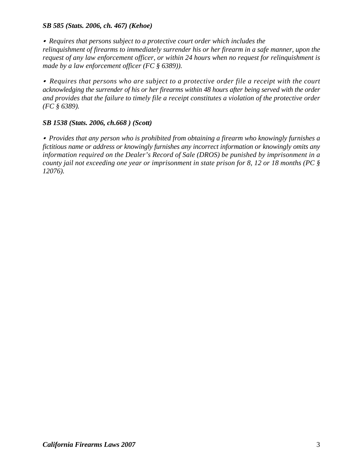#### *SB 585 (Stats. 2006, ch. 467) (Kehoe)*

<sup>C</sup>*Requires that persons subject to a protective court order which includes the relinquishment of firearms to immediately surrender his or her firearm in a safe manner, upon the request of any law enforcement officer, or within 24 hours when no request for relinquishment is made by a law enforcement officer (FC § 6389)).*

• Requires that persons who are subject to a protective order file a receipt with the court *acknowledging the surrender of his or her firearms within 48 hours after being served with the order and provides that the failure to timely file a receipt constitutes a violation of the protective order (FC § 6389).*

#### *SB 1538 (Stats. 2006, ch.668 ) (Scott)*

<sup>C</sup>*Provides that any person who is prohibited from obtaining a firearm who knowingly furnishes a fictitious name or address or knowingly furnishes any incorrect information or knowingly omits any information required on the Dealer's Record of Sale (DROS) be punished by imprisonment in a county jail not exceeding one year or imprisonment in state prison for 8, 12 or 18 months (PC § 12076).*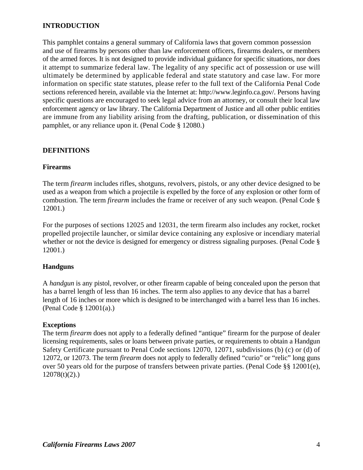#### **INTRODUCTION**

This pamphlet contains a general summary of California laws that govern common possession and use of firearms by persons other than law enforcement officers, firearms dealers, or members of the armed forces. It is not designed to provide individual guidance for specific situations, nor does it attempt to summarize federal law. The legality of any specific act of possession or use will ultimately be determined by applicable federal and state statutory and case law. For more information on specific state statutes, please refer to the full text of the California Penal Code sections referenced herein, available via the Internet at: http://www.leginfo.ca.gov/. Persons having specific questions are encouraged to seek legal advice from an attorney, or consult their local law enforcement agency or law library. The California Department of Justice and all other public entities are immune from any liability arising from the drafting, publication, or dissemination of this pamphlet, or any reliance upon it. (Penal Code § 12080.)

#### **DEFINITIONS**

#### **Firearms**

The term *firearm* includes rifles, shotguns, revolvers, pistols, or any other device designed to be used as a weapon from which a projectile is expelled by the force of any explosion or other form of combustion. The term *firearm* includes the frame or receiver of any such weapon. (Penal Code § 12001.)

For the purposes of sections 12025 and 12031, the term firearm also includes any rocket, rocket propelled projectile launcher, or similar device containing any explosive or incendiary material whether or not the device is designed for emergency or distress signaling purposes. (Penal Code § 12001.)

#### **Handguns**

A *handgun* is any pistol, revolver, or other firearm capable of being concealed upon the person that has a barrel length of less than 16 inches. The term also applies to any device that has a barrel length of 16 inches or more which is designed to be interchanged with a barrel less than 16 inches. (Penal Code § 12001(a).)

#### **Exceptions**

The term *firearm* does not apply to a federally defined "antique" firearm for the purpose of dealer licensing requirements, sales or loans between private parties, or requirements to obtain a Handgun Safety Certificate pursuant to Penal Code sections 12070, 12071, subdivisions (b) (c) or (d) of 12072, or 12073. The term *firearm* does not apply to federally defined "curio" or "relic" long guns over 50 years old for the purpose of transfers between private parties. (Penal Code §§ 12001(e),  $12078(t)(2)$ .)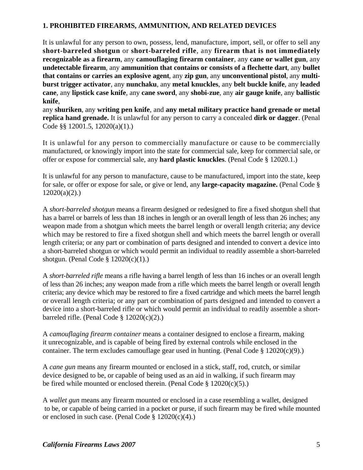#### **1. PROHIBITED FIREARMS, AMMUNITION, AND RELATED DEVICES**

It is unlawful for any person to own, possess, lend, manufacture, import, sell, or offer to sell any **short-barreled shotgun** or **short-barreled rifle**, any **firearm that is not immediately recognizable as a firearm**, any **camouflaging firearm container**, any **cane or wallet gun**, any **undetectable firearm**, any **ammunition that contains or consists of a flechette dart**, any **bullet that contains or carries an explosive agent**, any **zip gun**, any **unconventional pistol**, any **multiburst trigger activator**, any **nunchaku**, any **metal knuckles**, any **belt buckle knife**, any **leaded cane**, any **lipstick case knife**, any **cane sword**, any **shobi-zue**, any **air gauge knife**, any **ballistic knife**,

any **shuriken**, any **writing pen knife**, and **any metal military practice hand grenade or metal replica hand grenade.** It is unlawful for any person to carry a concealed **dirk or dagger**. (Penal Code §§ 12001.5, 12020(a)(1).)

It is unlawful for any person to commercially manufacture or cause to be commercially manufactured, or knowingly import into the state for commercial sale, keep for commercial sale, or offer or expose for commercial sale, any **hard plastic knuckles**. (Penal Code § 12020.1.)

It is unlawful for any person to manufacture, cause to be manufactured, import into the state, keep for sale, or offer or expose for sale, or give or lend, any **large-capacity magazine.** (Penal Code §  $12020(a)(2)$ .)

A *short-barreled shotgun* means a firearm designed or redesigned to fire a fixed shotgun shell that has a barrel or barrels of less than 18 inches in length or an overall length of less than 26 inches; any weapon made from a shotgun which meets the barrel length or overall length criteria; any device which may be restored to fire a fixed shotgun shell and which meets the barrel length or overall length criteria; or any part or combination of parts designed and intended to convert a device into a short-barreled shotgun or which would permit an individual to readily assemble a short-barreled shotgun. (Penal Code § 12020(c)(1).)

A *short-barreled rifle* means a rifle having a barrel length of less than 16 inches or an overall length of less than 26 inches; any weapon made from a rifle which meets the barrel length or overall length criteria; any device which may be restored to fire a fixed cartridge and which meets the barrel length or overall length criteria; or any part or combination of parts designed and intended to convert a device into a short-barreled rifle or which would permit an individual to readily assemble a shortbarreled rifle. (Penal Code § 12020(c)(2).)

A *camouflaging firearm container* means a container designed to enclose a firearm, making it unrecognizable, and is capable of being fired by external controls while enclosed in the container. The term excludes camouflage gear used in hunting. (Penal Code § 12020(c)(9).)

A *cane gun* means any firearm mounted or enclosed in a stick, staff, rod, crutch, or similar device designed to be, or capable of being used as an aid in walking, if such firearm may be fired while mounted or enclosed therein. (Penal Code § 12020(c)(5).)

A *wallet gun* means any firearm mounted or enclosed in a case resembling a wallet, designed to be, or capable of being carried in a pocket or purse, if such firearm may be fired while mounted or enclosed in such case. (Penal Code  $\S 12020(c)(4)$ .)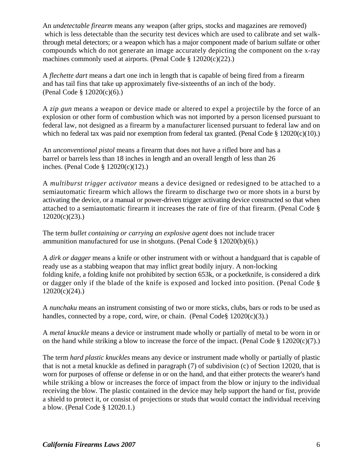An *undetectable firearm* means any weapon (after grips, stocks and magazines are removed) which is less detectable than the security test devices which are used to calibrate and set walkthrough metal detectors; or a weapon which has a major component made of barium sulfate or other compounds which do not generate an image accurately depicting the component on the x-ray machines commonly used at airports. (Penal Code § 12020(c)(22).)

A *flechette dart* means a dart one inch in length that is capable of being fired from a firearm and has tail fins that take up approximately five-sixteenths of an inch of the body. (Penal Code § 12020(c)(6).)

A *zip gun* means a weapon or device made or altered to expel a projectile by the force of an explosion or other form of combustion which was not imported by a person licensed pursuant to federal law, not designed as a firearm by a manufacturer licensed pursuant to federal law and on which no federal tax was paid nor exemption from federal tax granted. (Penal Code § 12020(c)(10).)

An *unconventional pistol* means a firearm that does not have a rifled bore and has a barrel or barrels less than 18 inches in length and an overall length of less than 26 inches. (Penal Code § 12020(c)(12).)

A *multiburst trigger activator* means a device designed or redesigned to be attached to a semiautomatic firearm which allows the firearm to discharge two or more shots in a burst by activating the device, or a manual or power-driven trigger activating device constructed so that when attached to a semiautomatic firearm it increases the rate of fire of that firearm. (Penal Code §  $12020(c)(23)$ .)

The term *bullet containing or carrying an explosive agent* does not include tracer ammunition manufactured for use in shotguns. (Penal Code § 12020(b)(6).)

A *dirk or dagger* means a knife or other instrument with or without a handguard that is capable of ready use as a stabbing weapon that may inflict great bodily injury. A non-locking folding knife, a folding knife not prohibited by section 653k, or a pocketknife, is considered a dirk or dagger only if the blade of the knife is exposed and locked into position. (Penal Code §  $12020(c)(24)$ .

A *nunchaku* means an instrument consisting of two or more sticks, clubs, bars or rods to be used as handles, connected by a rope, cord, wire, or chain. (Penal Code§ 12020(c)(3).)

A *metal knuckle* means a device or instrument made wholly or partially of metal to be worn in or on the hand while striking a blow to increase the force of the impact. (Penal Code  $\S 12020(c)(7)$ .)

The term *hard plastic knuckles* means any device or instrument made wholly or partially of plastic that is not a metal knuckle as defined in paragraph (7) of subdivision (c) of Section 12020, that is worn for purposes of offense or defense in or on the hand, and that either protects the wearer's hand while striking a blow or increases the force of impact from the blow or injury to the individual receiving the blow. The plastic contained in the device may help support the hand or fist, provide a shield to protect it, or consist of projections or studs that would contact the individual receiving a blow. (Penal Code § 12020.1.)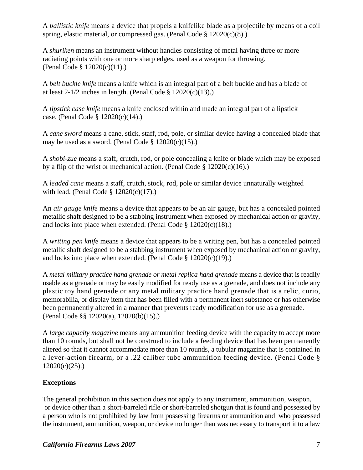A *ballistic knife* means a device that propels a knifelike blade as a projectile by means of a coil spring, elastic material, or compressed gas. (Penal Code § 12020(c)(8).)

A *shuriken* means an instrument without handles consisting of metal having three or more radiating points with one or more sharp edges, used as a weapon for throwing. (Penal Code § 12020(c)(11).)

A *belt buckle knife* means a knife which is an integral part of a belt buckle and has a blade of at least 2-1/2 inches in length. (Penal Code  $\S$  12020(c)(13).)

A *lipstick case knife* means a knife enclosed within and made an integral part of a lipstick case. (Penal Code § 12020(c)(14).)

A *cane sword* means a cane, stick, staff, rod, pole, or similar device having a concealed blade that may be used as a sword. (Penal Code  $\S$  12020(c)(15).)

A *shobi-zue* means a staff, crutch, rod, or pole concealing a knife or blade which may be exposed by a flip of the wrist or mechanical action. (Penal Code  $\S 12020(c)(16)$ .)

A *leaded cane* means a staff, crutch, stock, rod, pole or similar device unnaturally weighted with lead. (Penal Code § 12020(c)(17).)

An *air gauge knife* means a device that appears to be an air gauge, but has a concealed pointed metallic shaft designed to be a stabbing instrument when exposed by mechanical action or gravity, and locks into place when extended. (Penal Code § 12020(c)(18).)

A *writing pen knife* means a device that appears to be a writing pen, but has a concealed pointed metallic shaft designed to be a stabbing instrument when exposed by mechanical action or gravity, and locks into place when extended. (Penal Code § 12020(c)(19).)

A *metal military practice hand grenade or metal replica hand grenade* means a device that is readily usable as a grenade or may be easily modified for ready use as a grenade, and does not include any plastic toy hand grenade or any metal military practice hand grenade that is a relic, curio, memorabilia, or display item that has been filled with a permanent inert substance or has otherwise been permanently altered in a manner that prevents ready modification for use as a grenade. (Penal Code §§ 12020(a), 12020(b)(15).)

A *large capacity magazine* means any ammunition feeding device with the capacity to accept more than 10 rounds, but shall not be construed to include a feeding device that has been permanently altered so that it cannot accommodate more than 10 rounds, a tubular magazine that is contained in a lever-action firearm, or a .22 caliber tube ammunition feeding device. (Penal Code §  $12020(c)(25)$ .

## **Exceptions**

The general prohibition in this section does not apply to any instrument, ammunition, weapon, or device other than a short-barreled rifle or short-barreled shotgun that is found and possessed by a person who is not prohibited by law from possessing firearms or ammunition and who possessed the instrument, ammunition, weapon, or device no longer than was necessary to transport it to a law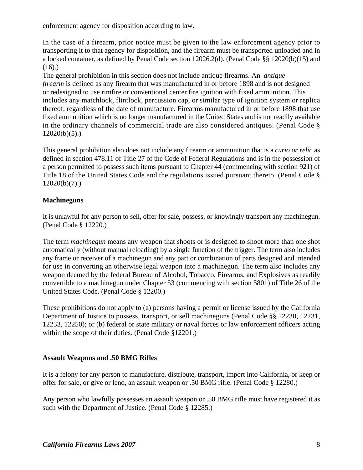enforcement agency for disposition according to law.

In the case of a firearm, prior notice must be given to the law enforcement agency prior to transporting it to that agency for disposition, and the firearm must be transported unloaded and in a locked container, as defined by Penal Code section 12026.2(d). (Penal Code §§ 12020(b)(15) and  $(16)$ .

The general prohibition in this section does not include antique firearms. An *antique firearm* is defined as any firearm that was manufactured in or before 1898 and is not designed or redesigned to use rimfire or conventional center fire ignition with fixed ammunition. This includes any matchlock, flintlock, percussion cap, or similar type of ignition system or replica thereof, regardless of the date of manufacture. Firearms manufactured in or before 1898 that use fixed ammunition which is no longer manufactured in the United States and is not readily available in the ordinary channels of commercial trade are also considered antiques. (Penal Code §  $12020(b)(5)$ .)

This general prohibition also does not include any firearm or ammunition that is a *curio or relic* as defined in section 478.11 of Title 27 of the Code of Federal Regulations and is in the possession of a person permitted to possess such items pursuant to Chapter 44 (commencing with section 921) of Title 18 of the United States Code and the regulations issued pursuant thereto. (Penal Code §  $12020(b)(7)$ .

#### **Machineguns**

It is unlawful for any person to sell, offer for sale, possess, or knowingly transport any machinegun. (Penal Code § 12220.)

The term *machinegun* means any weapon that shoots or is designed to shoot more than one shot automatically (without manual reloading) by a single function of the trigger. The term also includes any frame or receiver of a machinegun and any part or combination of parts designed and intended for use in converting an otherwise legal weapon into a machinegun. The term also includes any weapon deemed by the federal Bureau of Alcohol, Tobacco, Firearms, and Explosives as readily convertible to a machinegun under Chapter 53 (commencing with section 5801) of Title 26 of the United States Code. (Penal Code § 12200.)

These prohibitions do not apply to (a) persons having a permit or license issued by the California Department of Justice to possess, transport, or sell machineguns (Penal Code §§ 12230, 12231, 12233, 12250); or (b) federal or state military or naval forces or law enforcement officers acting within the scope of their duties. (Penal Code §12201.)

#### **Assault Weapons and .50 BMG Rifles**

It is a felony for any person to manufacture, distribute, transport, import into California, or keep or offer for sale, or give or lend, an assault weapon or .50 BMG rifle. (Penal Code § 12280.)

Any person who lawfully possesses an assault weapon or .50 BMG rifle must have registered it as such with the Department of Justice. (Penal Code § 12285.)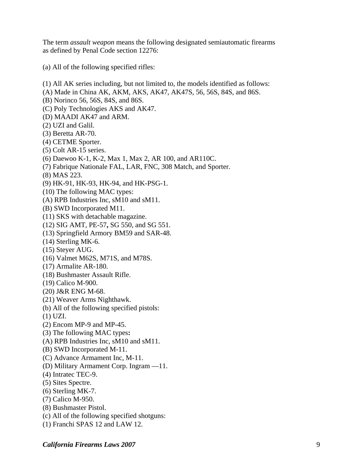The term *assault weapon* means the following designated semiautomatic firearms as defined by Penal Code section 12276:

(a) All of the following specified rifles:

- (1) All AK series including, but not limited to, the models identified as follows:
- (A) Made in China AK, AKM, AKS, AK47, AK47S, 56, 56S, 84S, and 86S.
- (B) Norinco 56, 56S, 84S, and 86S.
- (C) Poly Technologies AKS and AK47.
- (D) MAADI AK47 and ARM.
- (2) UZI and Galil.
- (3) Beretta AR-70.
- (4) CETME Sporter.
- (5) Colt AR-15 series.
- (6) Daewoo K-1, K-2, Max 1, Max 2, AR 100, and AR110C.
- (7) Fabrique Nationale FAL, LAR, FNC, 308 Match, and Sporter.
- (8) MAS 223.
- (9) HK-91, HK-93, HK-94, and HK-PSG-1.
- (10) The following MAC types:
- (A) RPB Industries Inc, sM10 and sM11.
- (B) SWD Incorporated M11.
- (11) SKS with detachable magazine.
- (12) SIG AMT, PE-57**,** SG 550, and SG 551.
- (13) Springfield Armory BM59 and SAR-48.
- (14) Sterling MK-6.
- (15) Steyer AUG.
- (16) Valmet M62S, M71S, and M78S.
- (17) Armalite AR-180.
- (18) Bushmaster Assault Rifle.
- (19) Calico M-900.
- (20) J&R ENG M-68.
- (21) Weaver Arms Nighthawk.
- (b) All of the following specified pistols:
- (1) UZI.
- (2) Encom MP-9 and MP-45.
- (3) The following MAC types**:**
- (A) RPB Industries Inc, sM10 and sM11.
- (B) SWD Incorporated M-11.
- (C) Advance Armament Inc, M-11.
- (D) Military Armament Corp. Ingram —11.
- (4) Intratec TEC-9.
- (5) Sites Spectre.
- (6) Sterling MK-7.
- (7) Calico M-950.
- (8) Bushmaster Pistol.
- (c) All of the following specified shotguns:
- (1) Franchi SPAS 12 and LAW 12.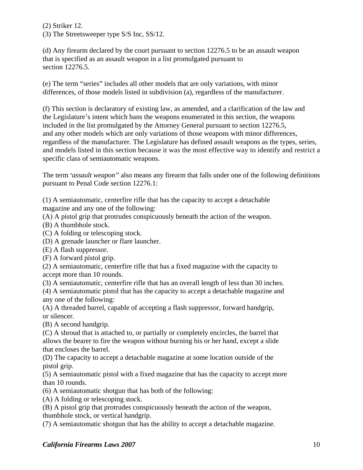(2) Striker 12. (3) The Streetsweeper type S/S Inc, SS/12.

(d) Any firearm declared by the court pursuant to section 12276.5 to be an assault weapon that is specified as an assault weapon in a list promulgated pursuant to section 12276.5.

(e) The term "series" includes all other models that are only variations, with minor differences, of those models listed in subdivision (a), regardless of the manufacturer.

(f) This section is declaratory of existing law, as amended, and a clarification of the law and the Legislature's intent which bans the weapons enumerated in this section, the weapons included in the list promulgated by the Attorney General pursuant to section 12276.5, and any other models which are only variations of those weapons with minor differences, regardless of the manufacturer. The Legislature has defined assault weapons as the types, series, and models listed in this section because it was the most effective way to identify and restrict a specific class of semiautomatic weapons.

The term "*assault weapon"* also means any firearm that falls under one of the following definitions pursuant to Penal Code section 12276.1:

(1) A semiautomatic, centerfire rifle that has the capacity to accept a detachable magazine and any one of the following:

(A) A pistol grip that protrudes conspicuously beneath the action of the weapon.

(B) A thumbhole stock.

(C) A folding or telescoping stock.

(D) A grenade launcher or flare launcher.

(E) A flash suppressor.

(F) A forward pistol grip.

(2) A semiautomatic, centerfire rifle that has a fixed magazine with the capacity to accept more than 10 rounds.

(3) A semiautomatic, centerfire rifle that has an overall length of less than 30 inches.

(4) A semiautomatic pistol that has the capacity to accept a detachable magazine and any one of the following:

(A) A threaded barrel, capable of accepting a flash suppressor, forward handgrip, or silencer.

(B) A second handgrip.

(C) A shroud that is attached to, or partially or completely encircles, the barrel that allows the bearer to fire the weapon without burning his or her hand, except a slide that encloses the barrel.

(D) The capacity to accept a detachable magazine at some location outside of the pistol grip.

(5) A semiautomatic pistol with a fixed magazine that has the capacity to accept more than 10 rounds.

(6) A semiautomatic shotgun that has both of the following:

(A) A folding or telescoping stock.

(B) A pistol grip that protrudes conspicuously beneath the action of the weapon, thumbhole stock, or vertical handgrip.

(7) A semiautomatic shotgun that has the ability to accept a detachable magazine.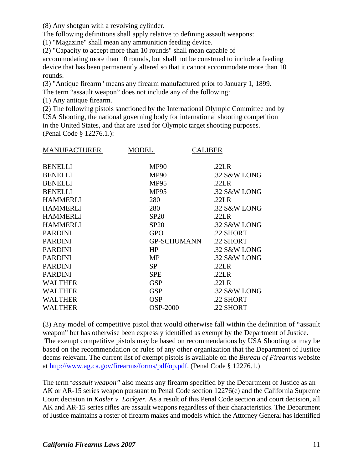(8) Any shotgun with a revolving cylinder.

The following definitions shall apply relative to defining assault weapons:

(1) "Magazine" shall mean any ammunition feeding device.

(2) "Capacity to accept more than 10 rounds" shall mean capable of

accommodating more than 10 rounds, but shall not be construed to include a feeding device that has been permanently altered so that it cannot accommodate more than 10 rounds.

(3) "Antique firearm" means any firearm manufactured prior to January 1, 1899.

The term "assault weapon" does not include any of the following:

(1) Any antique firearm.

(2) The following pistols sanctioned by the International Olympic Committee and by USA Shooting, the national governing body for international shooting competition in the United States, and that are used for Olympic target shooting purposes. (Penal Code § 12276.1.):

| <b>MANUFACTURER</b> | MODEL              | <b>CALIBER</b> |
|---------------------|--------------------|----------------|
| <b>BENELLI</b>      | <b>MP90</b>        | .22LR          |
| <b>BENELLI</b>      | MP90               | .32 S&W LONG   |
| <b>BENELLI</b>      | MP95               | .22LR          |
| <b>BENELLI</b>      | <b>MP95</b>        | .32 S&W LONG   |
| <b>HAMMERLI</b>     | 280                | .22LR          |
| <b>HAMMERLI</b>     | 280                | .32 S&W LONG   |
| <b>HAMMERLI</b>     | <b>SP20</b>        | .22LR          |
| <b>HAMMERLI</b>     | <b>SP20</b>        | .32 S&W LONG   |
| <b>PARDINI</b>      | <b>GPO</b>         | .22 SHORT      |
| <b>PARDINI</b>      | <b>GP-SCHUMANN</b> | .22 SHORT      |
| <b>PARDINI</b>      | HP                 | .32 S&W LONG   |
| <b>PARDINI</b>      | <b>MP</b>          | .32 S&W LONG   |
| <b>PARDINI</b>      | <b>SP</b>          | .22LR          |
| <b>PARDINI</b>      | <b>SPE</b>         | .22LR          |
| <b>WALTHER</b>      | <b>GSP</b>         | .22LR          |
| <b>WALTHER</b>      | <b>GSP</b>         | .32 S&W LONG   |
| <b>WALTHER</b>      | <b>OSP</b>         | .22 SHORT      |
| <b>WALTHER</b>      | <b>OSP-2000</b>    | .22 SHORT      |
|                     |                    |                |

(3) Any model of competitive pistol that would otherwise fall within the definition of "assault weapon" but has otherwise been expressly identified as exempt by the Department of Justice. The exempt competitive pistols may be based on recommendations by USA Shooting or may be based on the recommendation or rules of any other organization that the Department of Justice deems relevant. The current list of exempt pistols is available on the *Bureau of Firearms* website at http://www.ag.ca.gov/firearms/forms/pdf/op.pdf. (Penal Code § 12276.1.)

The term "*assault weapon"* also means any firearm specified by the Department of Justice as an AK or AR-15 series weapon pursuant to Penal Code section 12276(e) and the California Supreme Court decision in *Kasler v. Lockyer.* As a result of this Penal Code section and court decision, all AK and AR-15 series rifles are assault weapons regardless of their characteristics. The Department of Justice maintains a roster of firearm makes and models which the Attorney General has identified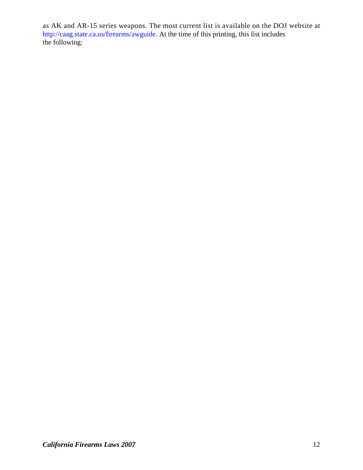as AK and AR-15 series weapons. The most current list is available on the DOJ website at http://caag.state.ca.us/firearms/awguide. At the time of this printing, this list includes the following: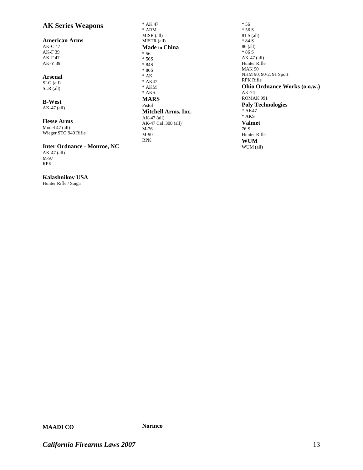#### **AK Series Weapons**

#### **American Arms**

AK-C 47 AK-F 39 AK-F 47 AK-Y 39

#### **Arsenal**

SLG (all) SLR (all)

#### **B-West**

AK-47 (all)

#### **Hesse Arms**

Model 47 (all) Wieger STG 940 Rifle

#### **Inter Ordnance - Monroe, NC**

AK-47 (all) M-97 RPK

#### **Kalashnikov USA**

Hunter Rifle / Saiga

\* AK 47 \* ARM MISR (all) MISTR (all) **Made in China** \* 56  $*56S$ \* 84S \* 86S  $^\ast$  AK \* AK47 \* AKM \* AKS **MARS** Pistol **Mitchell Arms, Inc.** AK-47 (all) AK-47 Cal .308 (all) M-76 M-90 RPK

\* 56 \* 56 S 81 S (all) \* 84 S 86 (all) \* 86 S AK-47 (all) Hunter Rifle MAK 90 NHM 90, 90-2, 91 Sport RPK Rifle **Ohio Ordnance Works (o.o.w.)** AK-74 ROMAK 991 **Poly Technologies** \* AK47 \* AKS **Valmet** 76 S Hunter Rifle **WUM** WUM (all)

#### **MAADI CO**

**Norinco**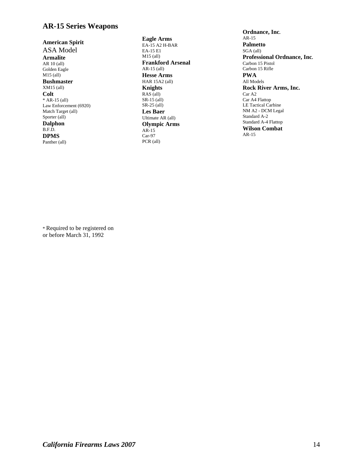#### **AR-15 Series Weapons**

**American Spirit** ASA Model **Armalite** AR 10 (all) Golden Eagle M15 (all) **Bushmaster** XM15 (all) **Colt** \* AR-15 (all) Law Enforcement (6920) Match Target (all) Sporter (all) **Dalphon** B.F.D. **DPMS** Panther (all)

**Eagle Arms** EA-15 A2 H-BAR EA-15 E1 M15 (all) **Frankford Arsenal** AR-15 (all) **Hesse Arms** HAR 15A2 (all) **Knights** RAS (all)  $SR-15$  (all) SR-25 (all) **Les Baer** Ultimate AR (all) **Olympic Arms** AR-15 Car-97 PCR (all)

**Ordnance, Inc.** AR-15 **Palmetto** SGA (all) **Professional Ordnance, Inc.** Carbon 15 Pistol Carbon 15 Rifle **PWA** All Models **Rock River Arms, Inc.** Car A2 Car A4 Flattop LE Tactical Carbine NM A2 - DCM Legal Standard A-2 Standard A-4 Flattop **Wilson Combat** AR-15

\* Required to be registered on or before March 31, 1992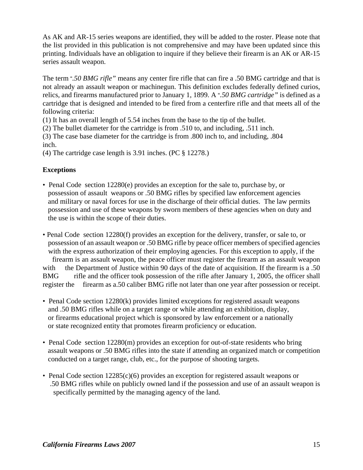As AK and AR-15 series weapons are identified, they will be added to the roster. Please note that the list provided in this publication is not comprehensive and may have been updated since this printing. Individuals have an obligation to inquire if they believe their firearm is an AK or AR-15 series assault weapon.

The term "*.50 BMG rifle"* means any center fire rifle that can fire a .50 BMG cartridge and that is not already an assault weapon or machinegun. This definition excludes federally defined curios, relics, and firearms manufactured prior to January 1, 1899. A "*.50 BMG cartridge"* is defined as a cartridge that is designed and intended to be fired from a centerfire rifle and that meets all of the following criteria:

(1) It has an overall length of 5.54 inches from the base to the tip of the bullet.

(2) The bullet diameter for the cartridge is from .510 to, and including, .511 inch.

(3) The case base diameter for the cartridge is from .800 inch to, and including, .804 inch.

(4) The cartridge case length is 3.91 inches. (PC § 12278.)

## **Exceptions**

- Penal Code section 12280(e) provides an exception for the sale to, purchase by, or possession of assault weapons or .50 BMG rifles by specified law enforcement agencies and military or naval forces for use in the discharge of their official duties. The law permits possession and use of these weapons by sworn members of these agencies when on duty and the use is within the scope of their duties.
- Penal Code section 12280(f) provides an exception for the delivery, transfer, or sale to, or possession of an assault weapon or .50 BMG rifle by peace officer members of specified agencies with the express authorization of their employing agencies. For this exception to apply, if the firearm is an assault weapon, the peace officer must register the firearm as an assault weapon with the Department of Justice within 90 days of the date of acquisition. If the firearm is a .50 BMG rifle and the officer took possession of the rifle after January 1, 2005, the officer shall register the firearm as a.50 caliber BMG rifle not later than one year after possession or receipt.
- Penal Code section 12280(k) provides limited exceptions for registered assault weapons and .50 BMG rifles while on a target range or while attending an exhibition, display, or firearms educational project which is sponsored by law enforcement or a nationally or state recognized entity that promotes firearm proficiency or education.
- Penal Code section 12280(m) provides an exception for out-of-state residents who bring assault weapons or .50 BMG rifles into the state if attending an organized match or competition conducted on a target range, club, etc., for the purpose of shooting targets.
- Penal Code section 12285(c)(6) provides an exception for registered assault weapons or .50 BMG rifles while on publicly owned land if the possession and use of an assault weapon is specifically permitted by the managing agency of the land.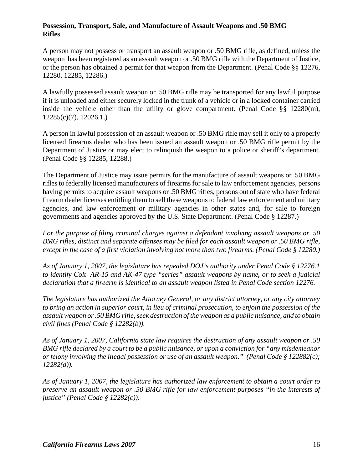#### **Possession, Transport, Sale, and Manufacture of Assault Weapons and .50 BMG Rifles**

A person may not possess or transport an assault weapon or .50 BMG rifle, as defined, unless the weapon has been registered as an assault weapon or .50 BMG rifle with the Department of Justice, or the person has obtained a permit for that weapon from the Department. (Penal Code §§ 12276, 12280, 12285, 12286.)

A lawfully possessed assault weapon or .50 BMG rifle may be transported for any lawful purpose if it is unloaded and either securely locked in the trunk of a vehicle or in a locked container carried inside the vehicle other than the utility or glove compartment. (Penal Code §§ 12280(m), 12285(c)(7), 12026.1.)

A person in lawful possession of an assault weapon or .50 BMG rifle may sell it only to a properly licensed firearms dealer who has been issued an assault weapon or .50 BMG rifle permit by the Department of Justice or may elect to relinquish the weapon to a police or sheriff's department. (Penal Code §§ 12285, 12288.)

The Department of Justice may issue permits for the manufacture of assault weapons or .50 BMG rifles to federally licensed manufacturers of firearms for sale to law enforcement agencies, persons having permits to acquire assault weapons or .50 BMG rifles, persons out of state who have federal firearm dealer licenses entitling them to sell these weapons to federal law enforcement and military agencies, and law enforcement or military agencies in other states and, for sale to foreign governments and agencies approved by the U.S. State Department. (Penal Code § 12287.)

*For the purpose of filing criminal charges against a defendant involving assault weapons or .50 BMG rifles, distinct and separate offenses may be filed for each assault weapon or .50 BMG rifle, except in the case of a first violation involving not more than two firearms. (Penal Code § 12280.)*

*As of January 1, 2007, the legislature has repealed DOJ's authority under Penal Code § 12276.1 to identify Colt AR-15 and AK-47 type "series" assault weapons by name, or to seek a judicial declaration that a firearm is identical to an assault weapon listed in Penal Code section 12276.*

*The legislature has authorized the Attorney General, or any district attorney, or any city attorney to bring an action in superior court, in lieu of criminal prosecution, to enjoin the possession of the assault weapon or .50 BMG rifle, seek destruction of the weapon as a public nuisance, and to obtain civil fines (Penal Code § 12282(b)).*

*As of January 1, 2007, California state law requires the destruction of any assault weapon or .50 BMG rifle declared by a court to be a public nuisance, or upon a conviction for "any misdemeanor or felony involving the illegal possession or use of an assault weapon." (Penal Code § 122882(c); 12282(d)).*

*As of January 1, 2007, the legislature has authorized law enforcement to obtain a court order to preserve an assault weapon or .50 BMG rifle for law enforcement purposes "in the interests of justice" (Penal Code § 12282(c)).*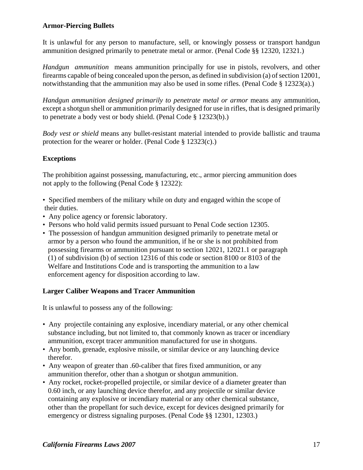#### **Armor-Piercing Bullets**

It is unlawful for any person to manufacture, sell, or knowingly possess or transport handgun ammunition designed primarily to penetrate metal or armor. (Penal Code §§ 12320, 12321.)

*Handgun ammunition* means ammunition principally for use in pistols, revolvers, and other firearms capable of being concealed upon the person, as defined in subdivision (a) of section 12001, notwithstanding that the ammunition may also be used in some rifles. (Penal Code § 12323(a).)

*Handgun ammunition designed primarily to penetrate metal or armor means any ammunition,* except a shotgun shell or ammunition primarily designed for use in rifles, that is designed primarily to penetrate a body vest or body shield. (Penal Code § 12323(b).)

*Body vest or shield* means any bullet-resistant material intended to provide ballistic and trauma protection for the wearer or holder. (Penal Code § 12323(c).)

#### **Exceptions**

The prohibition against possessing, manufacturing, etc., armor piercing ammunition does not apply to the following (Penal Code § 12322):

- Specified members of the military while on duty and engaged within the scope of their duties.
- Any police agency or forensic laboratory.
- Persons who hold valid permits issued pursuant to Penal Code section 12305.
- The possession of handgun ammunition designed primarily to penetrate metal or armor by a person who found the ammunition, if he or she is not prohibited from possessing firearms or ammunition pursuant to section 12021, 12021.1 or paragraph (1) of subdivision (b) of section 12316 of this code or section 8100 or 8103 of the Welfare and Institutions Code and is transporting the ammunition to a law enforcement agency for disposition according to law.

## **Larger Caliber Weapons and Tracer Ammunition**

It is unlawful to possess any of the following:

- Any projectile containing any explosive, incendiary material, or any other chemical substance including, but not limited to, that commonly known as tracer or incendiary ammunition, except tracer ammunition manufactured for use in shotguns.
- Any bomb, grenade, explosive missile, or similar device or any launching device therefor.
- Any weapon of greater than .60-caliber that fires fixed ammunition, or any ammunition therefor, other than a shotgun or shotgun ammunition.
- Any rocket, rocket-propelled projectile, or similar device of a diameter greater than 0.60 inch, or any launching device therefor, and any projectile or similar device containing any explosive or incendiary material or any other chemical substance, other than the propellant for such device, except for devices designed primarily for emergency or distress signaling purposes. (Penal Code §§ 12301, 12303.)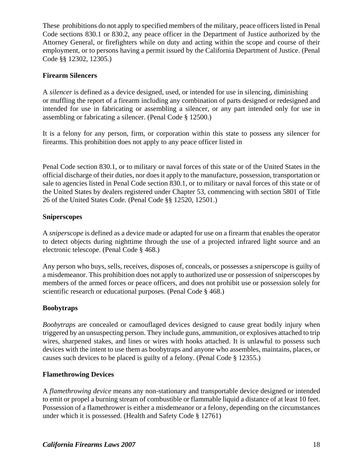These prohibitions do not apply to specified members of the military, peace officers listed in Penal Code sections 830.1 or 830.2, any peace officer in the Department of Justice authorized by the Attorney General, or firefighters while on duty and acting within the scope and course of their employment, or to persons having a permit issued by the California Department of Justice. (Penal Code §§ 12302, 12305.)

#### **Firearm Silencers**

A *silencer* is defined as a device designed, used, or intended for use in silencing, diminishing or muffling the report of a firearm including any combination of parts designed or redesigned and intended for use in fabricating or assembling a silencer, or any part intended only for use in assembling or fabricating a silencer. (Penal Code § 12500.)

It is a felony for any person, firm, or corporation within this state to possess any silencer for firearms. This prohibition does not apply to any peace officer listed in

Penal Code section 830.1, or to military or naval forces of this state or of the United States in the official discharge of their duties, nor does it apply to the manufacture, possession, transportation or sale to agencies listed in Penal Code section 830.1, or to military or naval forces of this state or of the United States by dealers registered under Chapter 53, commencing with section 5801 of Title 26 of the United States Code. (Penal Code §§ 12520, 12501.)

#### **Sniperscopes**

A *sniperscope* is defined as a device made or adapted for use on a firearm that enables the operator to detect objects during nighttime through the use of a projected infrared light source and an electronic telescope. (Penal Code § 468.)

Any person who buys, sells, receives, disposes of, conceals, or possesses a sniperscope is guilty of a misdemeanor. This prohibition does not apply to authorized use or possession of sniperscopes by members of the armed forces or peace officers, and does not prohibit use or possession solely for scientific research or educational purposes. (Penal Code § 468.)

#### **Boobytraps**

*Boobytraps* are concealed or camouflaged devices designed to cause great bodily injury when triggered by an unsuspecting person. They include guns, ammunition, or explosives attached to trip wires, sharpened stakes, and lines or wires with hooks attached. It is unlawful to possess such devices with the intent to use them as boobytraps and anyone who assembles, maintains, places, or causes such devices to be placed is guilty of a felony. (Penal Code § 12355.)

#### **Flamethrowing Devices**

A *flamethrowing device* means any non-stationary and transportable device designed or intended to emit or propel a burning stream of combustible or flammable liquid a distance of at least 10 feet. Possession of a flamethrower is either a misdemeanor or a felony, depending on the circumstances under which it is possessed. (Health and Safety Code § 12761)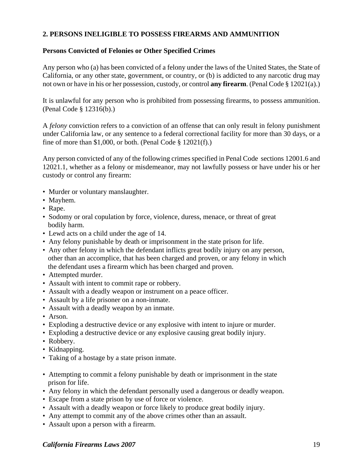#### **2. PERSONS INELIGIBLE TO POSSESS FIREARMS AND AMMUNITION**

#### **Persons Convicted of Felonies or Other Specified Crimes**

Any person who (a) has been convicted of a felony under the laws of the United States, the State of California, or any other state, government, or country, or (b) is addicted to any narcotic drug may not own or have in his or her possession, custody, or control **any firearm**. (Penal Code § 12021(a).)

It is unlawful for any person who is prohibited from possessing firearms, to possess ammunition. (Penal Code § 12316(b).)

A *felony* conviction refers to a conviction of an offense that can only result in felony punishment under California law, or any sentence to a federal correctional facility for more than 30 days, or a fine of more than \$1,000, or both. (Penal Code § 12021(f).)

Any person convicted of any of the following crimes specified in Penal Code sections 12001.6 and 12021.1, whether as a felony or misdemeanor, may not lawfully possess or have under his or her custody or control any firearm:

- Murder or voluntary manslaughter.
- Mayhem.
- Rape.
- Sodomy or oral copulation by force, violence, duress, menace, or threat of great bodily harm.
- Lewd acts on a child under the age of 14.
- Any felony punishable by death or imprisonment in the state prison for life.
- Any other felony in which the defendant inflicts great bodily injury on any person, other than an accomplice, that has been charged and proven, or any felony in which the defendant uses a firearm which has been charged and proven.
- Attempted murder.
- Assault with intent to commit rape or robbery.
- Assault with a deadly weapon or instrument on a peace officer.
- Assault by a life prisoner on a non-inmate.
- Assault with a deadly weapon by an inmate.
- Arson.
- Exploding a destructive device or any explosive with intent to injure or murder.
- Exploding a destructive device or any explosive causing great bodily injury.
- Robbery.
- Kidnapping.
- Taking of a hostage by a state prison inmate.
- Attempting to commit a felony punishable by death or imprisonment in the state prison for life.
- Any felony in which the defendant personally used a dangerous or deadly weapon.
- Escape from a state prison by use of force or violence.
- Assault with a deadly weapon or force likely to produce great bodily injury.
- Any attempt to commit any of the above crimes other than an assault.
- Assault upon a person with a firearm.

#### **California Firearms Laws 2007** 19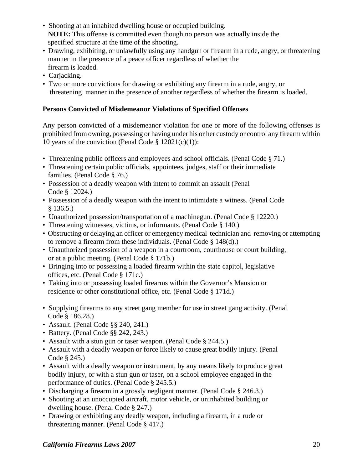- Shooting at an inhabited dwelling house or occupied building.  **NOTE:** This offense is committed even though no person was actually inside the specified structure at the time of the shooting.
- Drawing, exhibiting, or unlawfully using any handgun or firearm in a rude, angry, or threatening manner in the presence of a peace officer regardless of whether the firearm is loaded.
- Carjacking.
- Two or more convictions for drawing or exhibiting any firearm in a rude, angry, or threatening manner in the presence of another regardless of whether the firearm is loaded.

#### **Persons Convicted of Misdemeanor Violations of Specified Offenses**

Any person convicted of a misdemeanor violation for one or more of the following offenses is prohibited from owning, possessing or having under his or her custody or control any firearm within 10 years of the conviction (Penal Code  $\S$  12021(c)(1)):

- Threatening public officers and employees and school officials. (Penal Code § 71.)
- Threatening certain public officials, appointees, judges, staff or their immediate families. (Penal Code § 76.)
- Possession of a deadly weapon with intent to commit an assault (Penal Code § 12024.)
- Possession of a deadly weapon with the intent to intimidate a witness. (Penal Code  $§ 136.5.$
- Unauthorized possession/transportation of a machinegun. (Penal Code § 12220.)
- Threatening witnesses, victims, or informants. (Penal Code § 140.)
- Obstructing or delaying an officer or emergency medical technician and removing or attempting to remove a firearm from these individuals. (Penal Code § 148(d).)
- Unauthorized possession of a weapon in a courtroom, courthouse or court building, or at a public meeting. (Penal Code § 171b.)
- Bringing into or possessing a loaded firearm within the state capitol, legislative offices, etc. (Penal Code § 171c.)
- Taking into or possessing loaded firearms within the Governor's Mansion or residence or other constitutional office, etc. (Penal Code § 171d.)
- Supplying firearms to any street gang member for use in street gang activity. (Penal Code § 186.28.)
- Assault. (Penal Code §§ 240, 241.)
- Battery. (Penal Code §§ 242, 243.)
- Assault with a stun gun or taser weapon. (Penal Code § 244.5.)
- Assault with a deadly weapon or force likely to cause great bodily injury. (Penal Code § 245.)
- Assault with a deadly weapon or instrument, by any means likely to produce great bodily injury, or with a stun gun or taser, on a school employee engaged in the performance of duties. (Penal Code § 245.5.)
- Discharging a firearm in a grossly negligent manner. (Penal Code § 246.3.)
- Shooting at an unoccupied aircraft, motor vehicle, or uninhabited building or dwelling house. (Penal Code § 247.)
- Drawing or exhibiting any deadly weapon, including a firearm, in a rude or threatening manner. (Penal Code § 417.)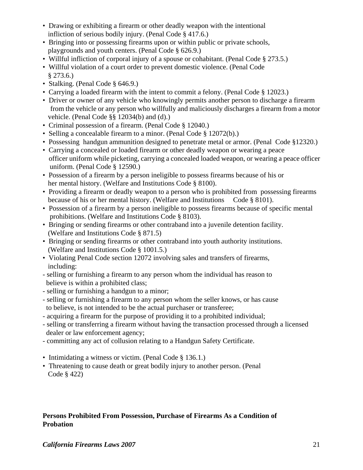- Drawing or exhibiting a firearm or other deadly weapon with the intentional infliction of serious bodily injury. (Penal Code § 417.6.)
- Bringing into or possessing firearms upon or within public or private schools, playgrounds and youth centers. (Penal Code § 626.9.)
- Willful infliction of corporal injury of a spouse or cohabitant. (Penal Code § 273.5.)
- Willful violation of a court order to prevent domestic violence. (Penal Code § 273.6.)
- Stalking. (Penal Code § 646.9.)
- Carrying a loaded firearm with the intent to commit a felony. (Penal Code § 12023.)
- Driver or owner of any vehicle who knowingly permits another person to discharge a firearm from the vehicle or any person who willfully and maliciously discharges a firearm from a motor vehicle. (Penal Code §§ 12034(b) and (d).)
- Criminal possession of a firearm. (Penal Code § 12040.)
- Selling a concealable firearm to a minor. (Penal Code § 12072(b).)
- Possessing handgun ammunition designed to penetrate metal or armor. (Penal Code §12320.)
- Carrying a concealed or loaded firearm or other deadly weapon or wearing a peace officer uniform while picketing, carrying a concealed loaded weapon, or wearing a peace officer uniform. (Penal Code § 12590.)
- Possession of a firearm by a person ineligible to possess firearms because of his or her mental history. (Welfare and Institutions Code § 8100).
- Providing a firearm or deadly weapon to a person who is prohibited from possessing firearms because of his or her mental history. (Welfare and Institutions Code § 8101).
- Possession of a firearm by a person ineligible to possess firearms because of specific mental prohibitions. (Welfare and Institutions Code § 8103).
- Bringing or sending firearms or other contraband into a juvenile detention facility. (Welfare and Institutions Code § 871.5)
- Bringing or sending firearms or other contraband into youth authority institutions. (Welfare and Institutions Code § 1001.5.)
- Violating Penal Code section 12072 involving sales and transfers of firearms, including:
- selling or furnishing a firearm to any person whom the individual has reason to believe is within a prohibited class;
- selling or furnishing a handgun to a minor;
- selling or furnishing a firearm to any person whom the seller knows, or has cause to believe, is not intended to be the actual purchaser or transferee;
- acquiring a firearm for the purpose of providing it to a prohibited individual;
- selling or transferring a firearm without having the transaction processed through a licensed dealer or law enforcement agency;
- committing any act of collusion relating to a Handgun Safety Certificate.
- Intimidating a witness or victim. (Penal Code § 136.1.)
- Threatening to cause death or great bodily injury to another person. (Penal Code § 422)

#### **Persons Prohibited From Possession, Purchase of Firearms As a Condition of Probation**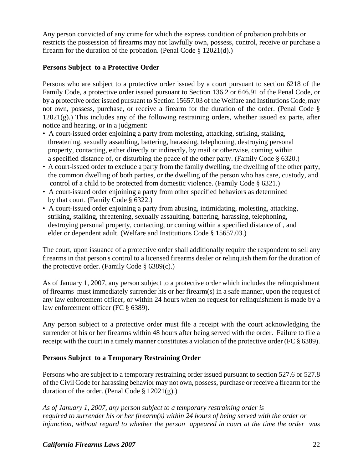Any person convicted of any crime for which the express condition of probation prohibits or restricts the possession of firearms may not lawfully own, possess, control, receive or purchase a firearm for the duration of the probation. (Penal Code § 12021(d).)

#### **Persons Subject to a Protective Order**

Persons who are subject to a protective order issued by a court pursuant to section 6218 of the Family Code, a protective order issued pursuant to Section 136.2 or 646.91 of the Penal Code, or by a protective order issued pursuant to Section 15657.03 of the Welfare and Institutions Code, may not own, possess*,* purchase*,* or receive a firearm for the duration of the order. (Penal Code §  $12021(g)$ .) This includes any of the following restraining orders, whether issued ex parte, after notice and hearing, or in a judgment:

- A court-issued order enjoining a party from molesting, attacking, striking, stalking, threatening, sexually assaulting, battering, harassing, telephoning, destroying personal property, contacting, either directly or indirectly, by mail or otherwise, coming within a specified distance of, or disturbing the peace of the other party. (Family Code § 6320.)
- A court-issued order to exclude a party from the family dwelling, the dwelling of the other party, the common dwelling of both parties, or the dwelling of the person who has care, custody, and control of a child to be protected from domestic violence. (Family Code § 6321.)
- A court-issued order enjoining a party from other specified behaviors as determined by that court. (Family Code § 6322.)
- A court-issued order enjoining a party from abusing, intimidating, molesting, attacking, striking, stalking, threatening, sexually assaulting, battering, harassing, telephoning, destroying personal property, contacting, or coming within a specified distance of , and elder or dependent adult. (Welfare and Institutions Code § 15657.03.)

The court, upon issuance of a protective order shall additionally require the respondent to sell any firearms in that person's control to a licensed firearms dealer or relinquish them for the duration of the protective order. (Family Code § 6389(c).)

As of January 1, 2007, any person subject to a protective order which includes the relinquishment of firearms must immediately surrender his or her firearm(s) in a safe manner, upon the request of any law enforcement officer, or within 24 hours when no request for relinquishment is made by a law enforcement officer (FC § 6389).

Any person subject to a protective order must file a receipt with the court acknowledging the surrender of his or her firearms within 48 hours after being served with the order. Failure to file a receipt with the court in a timely manner constitutes a violation of the protective order (FC § 6389).

## **Persons Subject to a Temporary Restraining Order**

Persons who are subject to a temporary restraining order issued pursuant to section 527.6 or 527.8 of the Civil Code for harassing behavior may not own, possess, purchase or receive a firearm for the duration of the order. (Penal Code § 12021(g).)

*As of January 1, 2007, any person subject to a temporary restraining order is required to surrender his or her firearm(s) within 24 hours of being served with the order or injunction, without regard to whether the person appeared in court at the time the order was*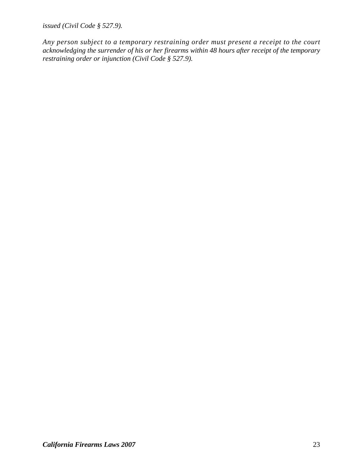*issued (Civil Code § 527.9).*

*Any person subject to a temporary restraining order must present a receipt to the court acknowledging the surrender of his or her firearms within 48 hours after receipt of the temporary restraining order or injunction (Civil Code § 527.9).*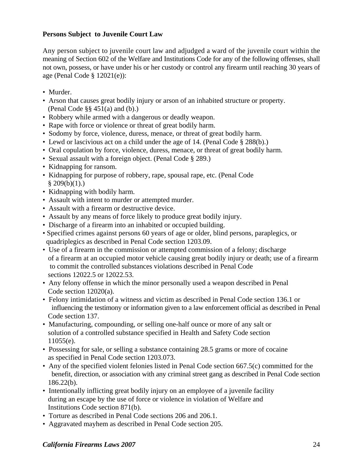#### **Persons Subject to Juvenile Court Law**

Any person subject to juvenile court law and adjudged a ward of the juvenile court within the meaning of Section 602 of the Welfare and Institutions Code for any of the following offenses, shall not own, possess, or have under his or her custody or control any firearm until reaching 30 years of age (Penal Code § 12021(e)):

- Murder.
- Arson that causes great bodily injury or arson of an inhabited structure or property. (Penal Code  $\S$ § 451(a) and (b).)
- Robbery while armed with a dangerous or deadly weapon.
- Rape with force or violence or threat of great bodily harm.
- Sodomy by force, violence, duress, menace, or threat of great bodily harm.
- Lewd or lascivious act on a child under the age of 14. (Penal Code § 288(b).)
- Oral copulation by force, violence, duress, menace, or threat of great bodily harm.
- Sexual assault with a foreign object. (Penal Code § 289.)
- Kidnapping for ransom.
- Kidnapping for purpose of robbery, rape, spousal rape, etc. (Penal Code  $$209(b)(1)$ .
- Kidnapping with bodily harm.
- Assault with intent to murder or attempted murder.
- Assault with a firearm or destructive device.
- Assault by any means of force likely to produce great bodily injury.
- Discharge of a firearm into an inhabited or occupied building.
- Specified crimes against persons 60 years of age or older, blind persons, paraplegics, or quadriplegics as described in Penal Code section 1203.09.
- Use of a firearm in the commission or attempted commission of a felony; discharge of a firearm at an occupied motor vehicle causing great bodily injury or death; use of a firearm to commit the controlled substances violations described in Penal Code sections 12022.5 or 12022.53.
- Any felony offense in which the minor personally used a weapon described in Penal Code section 12020(a).
- Felony intimidation of a witness and victim as described in Penal Code section 136.1 or influencing the testimony or information given to a law enforcement official as described in Penal Code section 137.
- Manufacturing, compounding, or selling one-half ounce or more of any salt or solution of a controlled substance specified in Health and Safety Code section 11055(e).
- Possessing for sale, or selling a substance containing 28.5 grams or more of cocaine as specified in Penal Code section 1203.073.
- Any of the specified violent felonies listed in Penal Code section 667.5(c) committed for the benefit, direction, or association with any criminal street gang as described in Penal Code section 186.22(b).
- Intentionally inflicting great bodily injury on an employee of a juvenile facility during an escape by the use of force or violence in violation of Welfare and Institutions Code section 871(b).
- Torture as described in Penal Code sections 206 and 206.1.
- Aggravated mayhem as described in Penal Code section 205.

#### *California Firearms Laws 2007* 24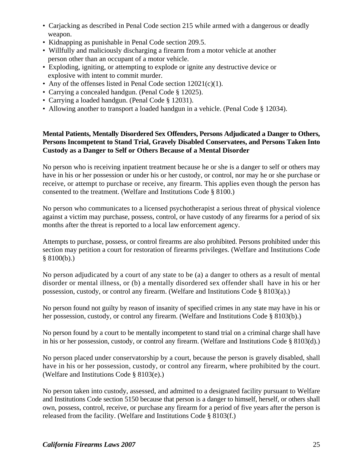- Carjacking as described in Penal Code section 215 while armed with a dangerous or deadly weapon.
- Kidnapping as punishable in Penal Code section 209.5.
- Willfully and maliciously discharging a firearm from a motor vehicle at another person other than an occupant of a motor vehicle.
- Exploding, igniting, or attempting to explode or ignite any destructive device or explosive with intent to commit murder.
- Any of the offenses listed in Penal Code section 12021(c)(1).
- Carrying a concealed handgun. (Penal Code § 12025).
- Carrying a loaded handgun. (Penal Code § 12031).
- Allowing another to transport a loaded handgun in a vehicle. (Penal Code § 12034).

#### **Mental Patients, Mentally Disordered Sex Offenders, Persons Adjudicated a Danger to Others, Persons Incompetent to Stand Trial, Gravely Disabled Conservatees, and Persons Taken Into Custody as a Danger to Self or Others Because of a Mental Disorder**

No person who is receiving inpatient treatment because he or she is a danger to self or others may have in his or her possession or under his or her custody, or control, nor may he or she purchase or receive, or attempt to purchase or receive, any firearm. This applies even though the person has consented to the treatment. (Welfare and Institutions Code § 8100.)

No person who communicates to a licensed psychotherapist a serious threat of physical violence against a victim may purchase, possess, control, or have custody of any firearms for a period of six months after the threat is reported to a local law enforcement agency.

Attempts to purchase, possess, or control firearms are also prohibited. Persons prohibited under this section may petition a court for restoration of firearms privileges. (Welfare and Institutions Code  $$8100(b).$ 

No person adjudicated by a court of any state to be (a) a danger to others as a result of mental disorder or mental illness, or (b) a mentally disordered sex offender shall have in his or her possession, custody, or control any firearm. (Welfare and Institutions Code § 8103(a).)

No person found not guilty by reason of insanity of specified crimes in any state may have in his or her possession, custody, or control any firearm. (Welfare and Institutions Code § 8103(b).)

No person found by a court to be mentally incompetent to stand trial on a criminal charge shall have in his or her possession, custody, or control any firearm. (Welfare and Institutions Code § 8103(d).)

No person placed under conservatorship by a court, because the person is gravely disabled, shall have in his or her possession, custody, or control any firearm, where prohibited by the court. (Welfare and Institutions Code § 8103(e).)

No person taken into custody, assessed, and admitted to a designated facility pursuant to Welfare and Institutions Code section 5150 because that person is a danger to himself, herself, or others shall own, possess, control, receive, or purchase any firearm for a period of five years after the person is released from the facility. (Welfare and Institutions Code § 8103(f.)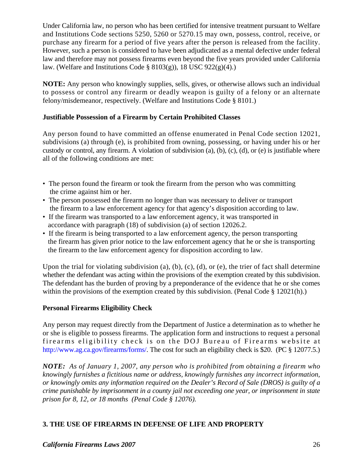Under California law, no person who has been certified for intensive treatment pursuant to Welfare and Institutions Code sections 5250, 5260 or 5270.15 may own, possess, control, receive, or purchase any firearm for a period of five years after the person is released from the facility. However, such a person is considered to have been adjudicated as a mental defective under federal law and therefore may not possess firearms even beyond the five years provided under California law. (Welfare and Institutions Code §  $8103(g)$ ), 18 USC  $922(g)(4)$ .)

**NOTE:** Any person who knowingly supplies, sells, gives, or otherwise allows such an individual to possess or control any firearm or deadly weapon is guilty of a felony or an alternate felony/misdemeanor, respectively. (Welfare and Institutions Code § 8101.)

#### **Justifiable Possession of a Firearm by Certain Prohibited Classes**

Any person found to have committed an offense enumerated in Penal Code section 12021, subdivisions (a) through (e), is prohibited from owning, possessing, or having under his or her custody or control, any firearm. A violation of subdivision (a), (b), (c), (d), or (e) is justifiable where all of the following conditions are met:

- The person found the firearm or took the firearm from the person who was committing the crime against him or her.
- The person possessed the firearm no longer than was necessary to deliver or transport the firearm to a law enforcement agency for that agency's disposition according to law.
- If the firearm was transported to a law enforcement agency, it was transported in accordance with paragraph (18) of subdivision (a) of section 12026.2.
- If the firearm is being transported to a law enforcement agency, the person transporting the firearm has given prior notice to the law enforcement agency that he or she is transporting the firearm to the law enforcement agency for disposition according to law.

Upon the trial for violating subdivision (a), (b), (c), (d), or (e), the trier of fact shall determine whether the defendant was acting within the provisions of the exemption created by this subdivision. The defendant has the burden of proving by a preponderance of the evidence that he or she comes within the provisions of the exemption created by this subdivision. (Penal Code § 12021(h).)

#### **Personal Firearms Eligibility Check**

Any person may request directly from the Department of Justice a determination as to whether he or she is eligible to possess firearms. The application form and instructions to request a personal firearms eligibility check is on the DOJ Bureau of Firearms website at http://www.ag.ca.gov/firearms/forms/. The cost for such an eligibility check is \$20. (PC § 12077.5.)

*NOTE: As of January 1, 2007, any person who is prohibited from obtaining a firearm who knowingly furnishes a fictitious name or address, knowingly furnishes any incorrect information, or knowingly omits any information required on the Dealer's Record of Sale (DROS) is guilty of a crime punishable by imprisonment in a county jail not exceeding one year, or imprisonment in state prison for 8, 12, or 18 months (Penal Code § 12076).* 

## **3. THE USE OF FIREARMS IN DEFENSE OF LIFE AND PROPERTY**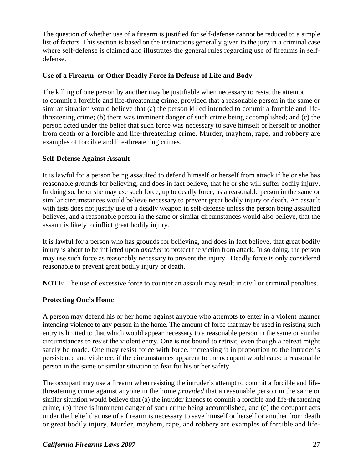The question of whether use of a firearm is justified for self-defense cannot be reduced to a simple list of factors. This section is based on the instructions generally given to the jury in a criminal case where self-defense is claimed and illustrates the general rules regarding use of firearms in selfdefense.

#### **Use of a Firearm or Other Deadly Force in Defense of Life and Body**

The killing of one person by another may be justifiable when necessary to resist the attempt to commit a forcible and life-threatening crime, provided that a reasonable person in the same or similar situation would believe that (a) the person killed intended to commit a forcible and lifethreatening crime; (b) there was imminent danger of such crime being accomplished; and (c) the person acted under the belief that such force was necessary to save himself or herself or another from death or a forcible and life-threatening crime. Murder, mayhem, rape, and robbery are examples of forcible and life-threatening crimes.

#### **Self-Defense Against Assault**

It is lawful for a person being assaulted to defend himself or herself from attack if he or she has reasonable grounds for believing, and does in fact believe, that he or she will suffer bodily injury. In doing so, he or she may use such force, up to deadly force, as a reasonable person in the same or similar circumstances would believe necessary to prevent great bodily injury or death. An assault with fists does not justify use of a deadly weapon in self-defense unless the person being assaulted believes, and a reasonable person in the same or similar circumstances would also believe, that the assault is likely to inflict great bodily injury.

It is lawful for a person who has grounds for believing, and does in fact believe, that great bodily injury is about to be inflicted upon *another* to protect the victim from attack. In so doing, the person may use such force as reasonably necessary to prevent the injury. Deadly force is only considered reasonable to prevent great bodily injury or death.

**NOTE:** The use of excessive force to counter an assault may result in civil or criminal penalties.

## **Protecting One's Home**

A person may defend his or her home against anyone who attempts to enter in a violent manner intending violence to any person in the home. The amount of force that may be used in resisting such entry is limited to that which would appear necessary to a reasonable person in the same or similar circumstances to resist the violent entry. One is not bound to retreat, even though a retreat might safely be made. One may resist force with force, increasing it in proportion to the intruder's persistence and violence, if the circumstances apparent to the occupant would cause a reasonable person in the same or similar situation to fear for his or her safety.

The occupant may use a firearm when resisting the intruder's attempt to commit a forcible and lifethreatening crime against anyone in the home *provided* that a reasonable person in the same or similar situation would believe that (a) the intruder intends to commit a forcible and life-threatening crime; (b) there is imminent danger of such crime being accomplished; and (c) the occupant acts under the belief that use of a firearm is necessary to save himself or herself or another from death or great bodily injury. Murder, mayhem, rape, and robbery are examples of forcible and life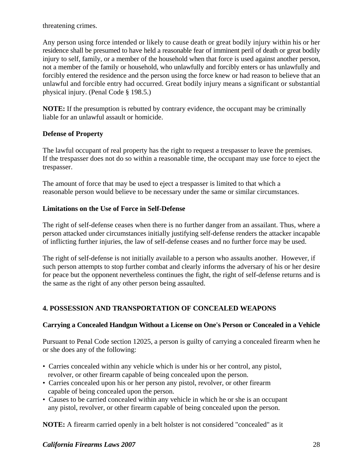threatening crimes.

Any person using force intended or likely to cause death or great bodily injury within his or her residence shall be presumed to have held a reasonable fear of imminent peril of death or great bodily injury to self, family, or a member of the household when that force is used against another person, not a member of the family or household, who unlawfully and forcibly enters or has unlawfully and forcibly entered the residence and the person using the force knew or had reason to believe that an unlawful and forcible entry had occurred. Great bodily injury means a significant or substantial physical injury. (Penal Code § 198.5.)

**NOTE:** If the presumption is rebutted by contrary evidence, the occupant may be criminally liable for an unlawful assault or homicide.

#### **Defense of Property**

The lawful occupant of real property has the right to request a trespasser to leave the premises. If the trespasser does not do so within a reasonable time, the occupant may use force to eject the trespasser.

The amount of force that may be used to eject a trespasser is limited to that which a reasonable person would believe to be necessary under the same or similar circumstances.

#### **Limitations on the Use of Force in Self-Defense**

The right of self-defense ceases when there is no further danger from an assailant. Thus, where a person attacked under circumstances initially justifying self-defense renders the attacker incapable of inflicting further injuries, the law of self-defense ceases and no further force may be used.

The right of self-defense is not initially available to a person who assaults another. However, if such person attempts to stop further combat and clearly informs the adversary of his or her desire for peace but the opponent nevertheless continues the fight, the right of self-defense returns and is the same as the right of any other person being assaulted.

## **4. POSSESSION AND TRANSPORTATION OF CONCEALED WEAPONS**

#### **Carrying a Concealed Handgun Without a License on One's Person or Concealed in a Vehicle**

Pursuant to Penal Code section 12025, a person is guilty of carrying a concealed firearm when he or she does any of the following:

- Carries concealed within any vehicle which is under his or her control, any pistol, revolver, or other firearm capable of being concealed upon the person.
- Carries concealed upon his or her person any pistol, revolver, or other firearm capable of being concealed upon the person.
- Causes to be carried concealed within any vehicle in which he or she is an occupant any pistol, revolver, or other firearm capable of being concealed upon the person.

**NOTE:** A firearm carried openly in a belt holster is not considered "concealed" as it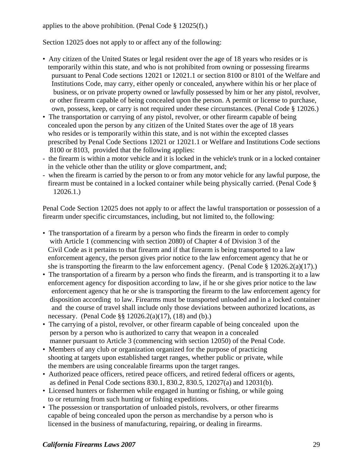applies to the above prohibition. (Penal Code § 12025(f).)

Section 12025 does not apply to or affect any of the following:

- Any citizen of the United States or legal resident over the age of 18 years who resides or is temporarily within this state, and who is not prohibited from owning or possessing firearms pursuant to Penal Code sections 12021 or 12021.1 or section 8100 or 8101 of the Welfare and Institutions Code, may carry, either openly or concealed, anywhere within his or her place of business, or on private property owned or lawfully possessed by him or her any pistol, revolver, or other firearm capable of being concealed upon the person. A permit or license to purchase, own, possess, keep, or carry is not required under these circumstances. (Penal Code § 12026.)
- The transportation or carrying of any pistol, revolver, or other firearm capable of being concealed upon the person by any citizen of the United States over the age of 18 years who resides or is temporarily within this state, and is not within the excepted classes prescribed by Penal Code Sections 12021 or 12021.1 or Welfare and Institutions Code sections 8100 or 8103, provided that the following applies:
- the firearm is within a motor vehicle and it is locked in the vehicle's trunk or in a locked container in the vehicle other than the utility or glove compartment, and;
- when the firearm is carried by the person to or from any motor vehicle for any lawful purpose, the firearm must be contained in a locked container while being physically carried. (Penal Code § 12026.1.)

Penal Code Section 12025 does not apply to or affect the lawful transportation or possession of a firearm under specific circumstances, including, but not limited to, the following:

- The transportation of a firearm by a person who finds the firearm in order to comply with Article 1 (commencing with section 2080) of Chapter 4 of Division 3 of the Civil Code as it pertains to that firearm and if that firearm is being transported to a law enforcement agency, the person gives prior notice to the law enforcement agency that he or she is transporting the firearm to the law enforcement agency. (Penal Code § 12026.2(a)(17).)
- The transportation of a firearm by a person who finds the firearm, and is transporting it to a law enforcement agency for disposition according to law, if he or she gives prior notice to the law enforcement agency that he or she is transporting the firearm to the law enforcement agency for disposition according to law. Firearms must be transported unloaded and in a locked container and the course of travel shall include only those deviations between authorized locations, as necessary. (Penal Code §§ 12026.2(a)(17), (18) and (b).)
- The carrying of a pistol, revolver, or other firearm capable of being concealed upon the person by a person who is authorized to carry that weapon in a concealed manner pursuant to Article 3 (commencing with section 12050) of the Penal Code.
- Members of any club or organization organized for the purpose of practicing shooting at targets upon established target ranges, whether public or private, while the members are using concealable firearms upon the target ranges.
- Authorized peace officers, retired peace officers, and retired federal officers or agents, as defined in Penal Code sections 830.1, 830.2, 830.5, 12027(a) and 12031(b).
- Licensed hunters or fishermen while engaged in hunting or fishing, or while going to or returning from such hunting or fishing expeditions.
- The possession or transportation of unloaded pistols, revolvers, or other firearms capable of being concealed upon the person as merchandise by a person who is licensed in the business of manufacturing, repairing, or dealing in firearms.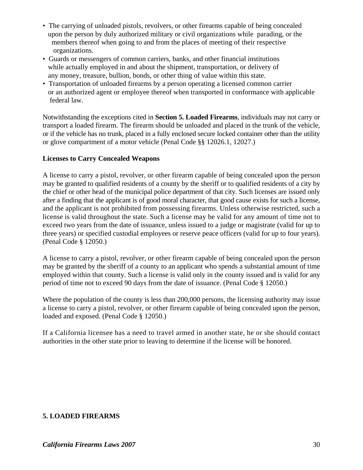- The carrying of unloaded pistols, revolvers, or other firearms capable of being concealed upon the person by duly authorized military or civil organizations while parading, or the members thereof when going to and from the places of meeting of their respective organizations.
- Guards or messengers of common carriers, banks, and other financial institutions while actually employed in and about the shipment, transportation, or delivery of any money, treasure, bullion, bonds, or other thing of value within this state.
- Transportation of unloaded firearms by a person operating a licensed common carrier or an authorized agent or employee thereof when transported in conformance with applicable federal law.

Notwithstanding the exceptions cited in **Section 5. Loaded Firearms**, individuals may not carry or transport a loaded firearm. The firearm should be unloaded and placed in the trunk of the vehicle, or if the vehicle has no trunk, placed in a fully enclosed secure locked container other than the utility or glove compartment of a motor vehicle (Penal Code §§ 12026.1, 12027.)

#### **Licenses to Carry Concealed Weapons**

A license to carry a pistol, revolver, or other firearm capable of being concealed upon the person may be granted to qualified residents of a county by the sheriff or to qualified residents of a city by the chief or other head of the municipal police department of that city. Such licenses are issued only after a finding that the applicant is of good moral character, that good cause exists for such a license, and the applicant is not prohibited from possessing firearms. Unless otherwise restricted, such a license is valid throughout the state. Such a license may be valid for any amount of time not to exceed two years from the date of issuance, unless issued to a judge or magistrate (valid for up to three years) or specified custodial employees or reserve peace officers (valid for up to four years). (Penal Code § 12050.)

A license to carry a pistol, revolver, or other firearm capable of being concealed upon the person may be granted by the sheriff of a county to an applicant who spends a substantial amount of time employed within that county. Such a license is valid only in the county issued and is valid for any period of time not to exceed 90 days from the date of issuance. (Penal Code § 12050.)

Where the population of the county is less than 200,000 persons, the licensing authority may issue a license to carry a pistol, revolver, or other firearm capable of being concealed upon the person, loaded and exposed. (Penal Code § 12050.)

If a California licensee has a need to travel armed in another state, he or she should contact authorities in the other state prior to leaving to determine if the license will be honored.

## **5. LOADED FIREARMS**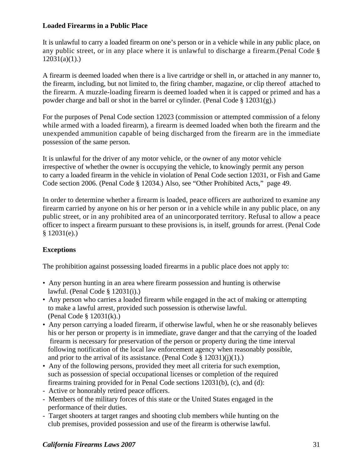#### **Loaded Firearms in a Public Place**

It is unlawful to carry a loaded firearm on one's person or in a vehicle while in any public place, on any public street, or in any place where it is unlawful to discharge a firearm.(Penal Code §  $12031(a)(1)$ .)

A firearm is deemed loaded when there is a live cartridge or shell in, or attached in any manner to, the firearm, including, but not limited to, the firing chamber, magazine, or clip thereof attached to the firearm. A muzzle-loading firearm is deemed loaded when it is capped or primed and has a powder charge and ball or shot in the barrel or cylinder. (Penal Code § 12031(g).)

For the purposes of Penal Code section 12023 (commission or attempted commission of a felony while armed with a loaded firearm), a firearm is deemed loaded when both the firearm and the unexpended ammunition capable of being discharged from the firearm are in the immediate possession of the same person.

It is unlawful for the driver of any motor vehicle, or the owner of any motor vehicle irrespective of whether the owner is occupying the vehicle, to knowingly permit any person to carry a loaded firearm in the vehicle in violation of Penal Code section 12031, or Fish and Game Code section 2006. (Penal Code § 12034.) Also, see "Other Prohibited Acts," page 49.

In order to determine whether a firearm is loaded, peace officers are authorized to examine any firearm carried by anyone on his or her person or in a vehicle while in any public place, on any public street, or in any prohibited area of an unincorporated territory. Refusal to allow a peace officer to inspect a firearm pursuant to these provisions is, in itself, grounds for arrest. (Penal Code  $$ 12031(e)$ .

## **Exceptions**

The prohibition against possessing loaded firearms in a public place does not apply to:

- Any person hunting in an area where firearm possession and hunting is otherwise lawful. (Penal Code § 12031(i).)
- Any person who carries a loaded firearm while engaged in the act of making or attempting to make a lawful arrest, provided such possession is otherwise lawful. (Penal Code § 12031(k).)
- Any person carrying a loaded firearm, if otherwise lawful, when he or she reasonably believes his or her person or property is in immediate, grave danger and that the carrying of the loaded firearm is necessary for preservation of the person or property during the time interval following notification of the local law enforcement agency when reasonably possible, and prior to the arrival of its assistance. (Penal Code  $\S$  12031)(j)(1).)
- Any of the following persons, provided they meet all criteria for such exemption, such as possession of special occupational licenses or completion of the required firearms training provided for in Penal Code sections 12031(b), (c), and (d):
- Active or honorably retired peace officers.
- Members of the military forces of this state or the United States engaged in the performance of their duties.
- Target shooters at target ranges and shooting club members while hunting on the club premises, provided possession and use of the firearm is otherwise lawful.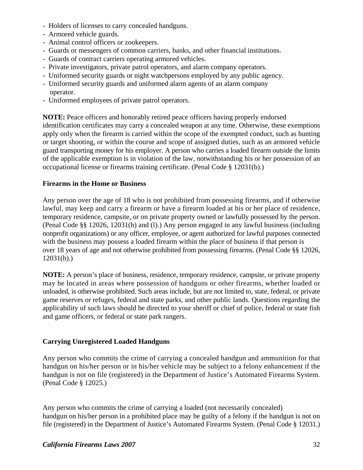- Holders of licenses to carry concealed handguns.
- Armored vehicle guards.
- Animal control officers or zookeepers.
- Guards or messengers of common carriers, banks, and other financial institutions.
- Guards of contract carriers operating armored vehicles.
- Private investigators, private patrol operators, and alarm company operators.
- Uniformed security guards or night watchpersons employed by any public agency.
- Uniformed security guards and uniformed alarm agents of an alarm company operator.
- Uniformed employees of private patrol operators.

**NOTE:** Peace officers and honorably retired peace officers having properly endorsed identification certificates may carry a concealed weapon at any time. Otherwise, these exemptions apply only when the firearm is carried within the scope of the exempted conduct, such as hunting or target shooting, or within the course and scope of assigned duties, such as an armored vehicle guard transporting money for his employer. A person who carries a loaded firearm outside the limits of the applicable exemption is in violation of the law, notwithstanding his or her possession of an occupational license or firearms training certificate. (Penal Code § 12031(b).)

#### **Firearms in the Home or Business**

Any person over the age of 18 who is not prohibited from possessing firearms, and if otherwise lawful, may keep and carry a firearm or have a firearm loaded at his or her place of residence, temporary residence, campsite, or on private property owned or lawfully possessed by the person. (Penal Code §§ 12026, 12031(h) and (l).) Any person engaged in any lawful business (including nonprofit organizations) or any officer, employee, or agent authorized for lawful purposes connected with the business may possess a loaded firearm within the place of business if that person is over 18 years of age and not otherwise prohibited from possessing firearms. (Penal Code §§ 12026, 12031(h).)

**NOTE:** A person's place of business, residence, temporary residence, campsite, or private property may be located in areas where possession of handguns or other firearms, whether loaded or unloaded, is otherwise prohibited. Such areas include, but are not limited to, state, federal, or private game reserves or refuges, federal and state parks, and other public lands. Questions regarding the applicability of such laws should be directed to your sheriff or chief of police, federal or state fish and game officers, or federal or state park rangers.

#### **Carrying Unregistered Loaded Handguns**

Any person who commits the crime of carrying a concealed handgun and ammunition for that handgun on his/her person or in his/her vehicle may be subject to a felony enhancement if the handgun is not on file (registered) in the Department of Justice's Automated Firearms System. (Penal Code § 12025.)

Any person who commits the crime of carrying a loaded (not necessarily concealed) handgun on his/her person in a prohibited place may be guilty of a felony if the handgun is not on file (registered) in the Department of Justice's Automated Firearms System. (Penal Code § 12031.)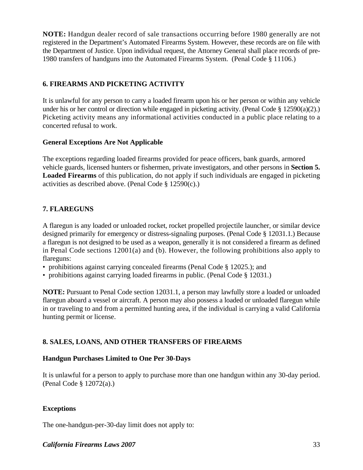**NOTE:** Handgun dealer record of sale transactions occurring before 1980 generally are not registered in the Department's Automated Firearms System. However, these records are on file with the Department of Justice. Upon individual request, the Attorney General shall place records of pre-1980 transfers of handguns into the Automated Firearms System. (Penal Code § 11106.)

## **6. FIREARMS AND PICKETING ACTIVITY**

It is unlawful for any person to carry a loaded firearm upon his or her person or within any vehicle under his or her control or direction while engaged in picketing activity. (Penal Code § 12590(a)(2).) Picketing activity means any informational activities conducted in a public place relating to a concerted refusal to work.

#### **General Exceptions Are Not Applicable**

The exceptions regarding loaded firearms provided for peace officers, bank guards, armored vehicle guards, licensed hunters or fishermen, private investigators, and other persons in **Section 5. Loaded Firearms** of this publication, do not apply if such individuals are engaged in picketing activities as described above. (Penal Code § 12590(c).)

## **7. FLAREGUNS**

A flaregun is any loaded or unloaded rocket, rocket propelled projectile launcher, or similar device designed primarily for emergency or distress-signaling purposes. (Penal Code § 12031.1.) Because a flaregun is not designed to be used as a weapon, generally it is not considered a firearm as defined in Penal Code sections 12001(a) and (b). However, the following prohibitions also apply to flareguns:

- prohibitions against carrying concealed firearms (Penal Code § 12025.); and
- prohibitions against carrying loaded firearms in public. (Penal Code § 12031.)

**NOTE:** Pursuant to Penal Code section 12031.1, a person may lawfully store a loaded or unloaded flaregun aboard a vessel or aircraft. A person may also possess a loaded or unloaded flaregun while in or traveling to and from a permitted hunting area, if the individual is carrying a valid California hunting permit or license.

## **8. SALES, LOANS, AND OTHER TRANSFERS OF FIREARMS**

#### **Handgun Purchases Limited to One Per 30-Days**

It is unlawful for a person to apply to purchase more than one handgun within any 30-day period. (Penal Code § 12072(a).)

## **Exceptions**

The one-handgun-per-30-day limit does not apply to:

#### *California Firearms Laws 2007* 33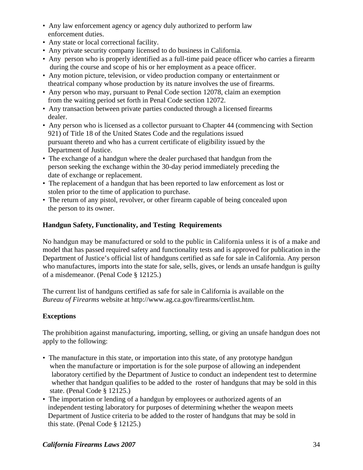- Any law enforcement agency or agency duly authorized to perform law enforcement duties.
- Any state or local correctional facility.
- Any private security company licensed to do business in California.
- Any person who is properly identified as a full-time paid peace officer who carries a firearm during the course and scope of his or her employment as a peace officer.
- Any motion picture, television, or video production company or entertainment or theatrical company whose production by its nature involves the use of firearms.
- Any person who may, pursuant to Penal Code section 12078, claim an exemption from the waiting period set forth in Penal Code section 12072.
- Any transaction between private parties conducted through a licensed firearms dealer.
- Any person who is licensed as a collector pursuant to Chapter 44 (commencing with Section 921) of Title 18 of the United States Code and the regulations issued pursuant thereto and who has a current certificate of eligibility issued by the Department of Justice.
- The exchange of a handgun where the dealer purchased that handgun from the person seeking the exchange within the 30-day period immediately preceding the date of exchange or replacement.
- The replacement of a handgun that has been reported to law enforcement as lost or stolen prior to the time of application to purchase.
- The return of any pistol, revolver, or other firearm capable of being concealed upon the person to its owner.

## **Handgun Safety, Functionality, and Testing Requirements**

No handgun may be manufactured or sold to the public in California unless it is of a make and model that has passed required safety and functionality tests and is approved for publication in the Department of Justice's official list of handguns certified as safe for sale in California. Any person who manufactures, imports into the state for sale, sells, gives, or lends an unsafe handgun is guilty of a misdemeanor. (Penal Code § 12125.)

The current list of handguns certified as safe for sale in California is available on the *Bureau of Firearms* website at http://www.ag.ca.gov/firearms/certlist.htm.

## **Exceptions**

The prohibition against manufacturing, importing, selling, or giving an unsafe handgun does not apply to the following:

- The manufacture in this state, or importation into this state, of any prototype handgun when the manufacture or importation is for the sole purpose of allowing an independent laboratory certified by the Department of Justice to conduct an independent test to determine whether that handgun qualifies to be added to the roster of handguns that may be sold in this state. (Penal Code § 12125.)
- The importation or lending of a handgun by employees or authorized agents of an independent testing laboratory for purposes of determining whether the weapon meets Department of Justice criteria to be added to the roster of handguns that may be sold in this state. (Penal Code § 12125.)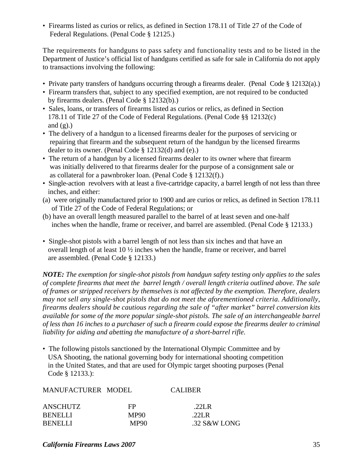• Firearms listed as curios or relics, as defined in Section 178.11 of Title 27 of the Code of Federal Regulations. (Penal Code § 12125.)

The requirements for handguns to pass safety and functionality tests and to be listed in the Department of Justice's official list of handguns certified as safe for sale in California do not apply to transactions involving the following:

- Private party transfers of handguns occurring through a firearms dealer. (Penal Code § 12132(a).)
- Firearm transfers that, subject to any specified exemption, are not required to be conducted by firearms dealers. (Penal Code § 12132(b).)
- Sales, loans, or transfers of firearms listed as curios or relics, as defined in Section 178.11 of Title 27 of the Code of Federal Regulations. (Penal Code §§ 12132(c) and  $(g)$ .)
- The delivery of a handgun to a licensed firearms dealer for the purposes of servicing or repairing that firearm and the subsequent return of the handgun by the licensed firearms dealer to its owner. (Penal Code § 12132(d) and (e).)
- The return of a handgun by a licensed firearms dealer to its owner where that firearm was initially delivered to that firearms dealer for the purpose of a consignment sale or as collateral for a pawnbroker loan. (Penal Code § 12132(f).)
- Single-action revolvers with at least a five-cartridge capacity, a barrel length of not less than three inches, and either:
- (a) were originally manufactured prior to 1900 and are curios or relics, as defined in Section 178.11 of Title 27 of the Code of Federal Regulations; or
- (b) have an overall length measured parallel to the barrel of at least seven and one-half inches when the handle, frame or receiver, and barrel are assembled. (Penal Code § 12133.)
- Single-shot pistols with a barrel length of not less than six inches and that have an overall length of at least 10 ½ inches when the handle, frame or receiver, and barrel are assembled. (Penal Code § 12133.)

*NOTE: The exemption for single-shot pistols from handgun safety testing only applies to the sales of complete firearms that meet the barrel length / overall length criteria outlined above. The sale of frames or stripped receivers by themselves is not affected by the exemption. Therefore, dealers may not sell any single-shot pistols that do not meet the aforementioned criteria. Additionally, firearms dealers should be cautious regarding the sale of "after market" barrel conversion kits available for some of the more popular single-shot pistols. The sale of an interchangeable barrel of less than 16 inches to a purchaser of such a firearm could expose the firearms dealer to criminal liability for aiding and abetting the manufacture of a short-barrel rifle.* 

• The following pistols sanctioned by the International Olympic Committee and by USA Shooting, the national governing body for international shooting competition in the United States, and that are used for Olympic target shooting purposes (Penal Code § 12133.):

| MANUFACTURER MODEL |      | <b>CALIBER</b> |
|--------------------|------|----------------|
| ANSCHUTZ           | FP   | -22LR          |
| <b>BENELLI</b>     | MP90 | -22LR          |
| <b>BENELLI</b>     | MP90 | .32 S&W LONG   |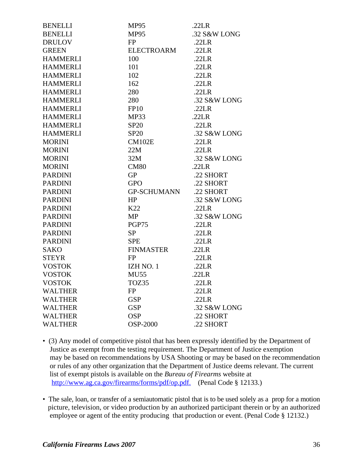| <b>BENELLI</b>  | <b>MP95</b>      | .22LR        |
|-----------------|------------------|--------------|
| <b>BENELLI</b>  | <b>MP95</b>      | .32 S&W LONG |
| <b>DRULOV</b>   | FP               | .22LR        |
| <b>GREEN</b>    | ELECTROARM       | .22LR        |
| <b>HAMMERLI</b> | 100              | .22LR        |
| <b>HAMMERLI</b> | 101              | .22LR        |
| <b>HAMMERLI</b> | 102              | .22LR        |
| <b>HAMMERLI</b> | 162              | .22LR        |
| <b>HAMMERLI</b> | 280              | .22LR        |
| <b>HAMMERLI</b> | 280              | .32 S&W LONG |
| <b>HAMMERLI</b> | <b>FP10</b>      | .22LR        |
| <b>HAMMERLI</b> | MP33             | .22LR        |
| <b>HAMMERLI</b> | <b>SP20</b>      | .22LR        |
| <b>HAMMERLI</b> | <b>SP20</b>      | .32 S&W LONG |
| <b>MORINI</b>   | CM102E           | .22LR        |
| <b>MORINI</b>   | 22M              | .22LR        |
| <b>MORINI</b>   | 32M              | .32 S&W LONG |
| <b>MORINI</b>   | CM80             | .22LR        |
| <b>PARDINI</b>  | <b>GP</b>        | .22 SHORT    |
| <b>PARDINI</b>  | <b>GPO</b>       | .22 SHORT    |
| <b>PARDINI</b>  | GP-SCHUMANN      | .22 SHORT    |
| <b>PARDINI</b>  | HP               | .32 S&W LONG |
| <b>PARDINI</b>  | K22              | .22LR        |
| <b>PARDINI</b>  | <b>MP</b>        | .32 S&W LONG |
| <b>PARDINI</b>  | PGP75            | .22LR        |
| <b>PARDINI</b>  | <b>SP</b>        | .22LR        |
| <b>PARDINI</b>  | <b>SPE</b>       | .22LR        |
| <b>SAKO</b>     | <b>FINMASTER</b> | .22LR        |
| <b>STEYR</b>    | <b>FP</b>        | .22LR        |
| <b>VOSTOK</b>   | IZH NO. 1        | .22LR        |
| <b>VOSTOK</b>   | MU55             | .22LR        |
| <b>VOSTOK</b>   | TOZ35            | .22LR        |
| <b>WALTHER</b>  | <b>FP</b>        | .22LR        |
| <b>WALTHER</b>  | <b>GSP</b>       | .22LR        |
| <b>WALTHER</b>  | <b>GSP</b>       | .32 S&W LONG |
| <b>WALTHER</b>  | <b>OSP</b>       | .22 SHORT    |
| <b>WALTHER</b>  | <b>OSP-2000</b>  | .22 SHORT    |

• (3) Any model of competitive pistol that has been expressly identified by the Department of Justice as exempt from the testing requirement. The Department of Justice exemption may be based on recommendations by USA Shooting or may be based on the recommendation or rules of any other organization that the Department of Justice deems relevant. The current list of exempt pistols is available on the *Bureau of Firearms* website at http://www.ag.ca.gov/firearms/forms/pdf/op.pdf. (Penal Code § 12133.)

• The sale, loan, or transfer of a semiautomatic pistol that is to be used solely as a prop for a motion picture, television, or video production by an authorized participant therein or by an authorized employee or agent of the entity producing that production or event. (Penal Code § 12132.)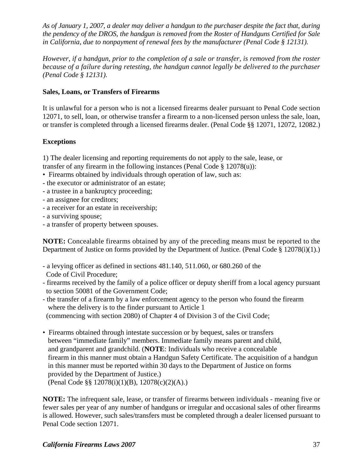*As of January 1, 2007, a dealer may deliver a handgun to the purchaser despite the fact that, during the pendency of the DROS, the handgun is removed from the Roster of Handguns Certified for Sale in California, due to nonpayment of renewal fees by the manufacturer (Penal Code § 12131).*

*However, if a handgun, prior to the completion of a sale or transfer, is removed from the roster because of a failure during retesting, the handgun cannot legally be delivered to the purchaser (Penal Code § 12131).*

#### **Sales, Loans, or Transfers of Firearms**

It is unlawful for a person who is not a licensed firearms dealer pursuant to Penal Code section 12071, to sell, loan, or otherwise transfer a firearm to a non-licensed person unless the sale, loan, or transfer is completed through a licensed firearms dealer. (Penal Code §§ 12071, 12072, 12082.)

#### **Exceptions**

1) The dealer licensing and reporting requirements do not apply to the sale, lease, or

transfer of any firearm in the following instances (Penal Code  $\S 12078(u)$ ):

- Firearms obtained by individuals through operation of law, such as:
- the executor or administrator of an estate;
- a trustee in a bankruptcy proceeding;
- an assignee for creditors;
- a receiver for an estate in receivership;
- a surviving spouse;
- a transfer of property between spouses.

**NOTE:** Concealable firearms obtained by any of the preceding means must be reported to the Department of Justice on forms provided by the Department of Justice. (Penal Code § 12078(i)(1).)

- a levying officer as defined in sections 481.140, 511.060, or 680.260 of the Code of Civil Procedure;
- firearms received by the family of a police officer or deputy sheriff from a local agency pursuant to section 50081 of the Government Code;
- the transfer of a firearm by a law enforcement agency to the person who found the firearm where the delivery is to the finder pursuant to Article 1 (commencing with section 2080) of Chapter 4 of Division 3 of the Civil Code;
- Firearms obtained through intestate succession or by bequest, sales or transfers between "immediate family" members. Immediate family means parent and child, and grandparent and grandchild. (**NOTE**: Individuals who receive a concealable firearm in this manner must obtain a Handgun Safety Certificate. The acquisition of a handgun in this manner must be reported within 30 days to the Department of Justice on forms provided by the Department of Justice.)

(Penal Code §§ 12078(i)(1)(B), 12078(c)(2)(A).)

**NOTE:** The infrequent sale, lease, or transfer of firearms between individuals - meaning five or fewer sales per year of any number of handguns or irregular and occasional sales of other firearms is allowed. However, such sales/transfers must be completed through a dealer licensed pursuant to Penal Code section 12071.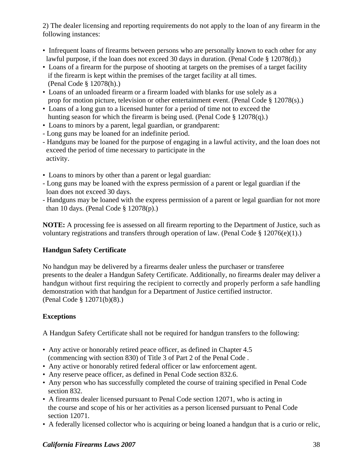2) The dealer licensing and reporting requirements do not apply to the loan of any firearm in the following instances:

- Infrequent loans of firearms between persons who are personally known to each other for any lawful purpose, if the loan does not exceed 30 days in duration. (Penal Code § 12078(d).)
- Loans of a firearm for the purpose of shooting at targets on the premises of a target facility if the firearm is kept within the premises of the target facility at all times. (Penal Code § 12078(h).)
- Loans of an unloaded firearm or a firearm loaded with blanks for use solely as a prop for motion picture, television or other entertainment event. (Penal Code § 12078(s).)
- Loans of a long gun to a licensed hunter for a period of time not to exceed the hunting season for which the firearm is being used. (Penal Code § 12078(q).)
- Loans to minors by a parent, legal guardian, or grandparent:
- Long guns may be loaned for an indefinite period.
- Handguns may be loaned for the purpose of engaging in a lawful activity, and the loan does not exceed the period of time necessary to participate in the activity.
- Loans to minors by other than a parent or legal guardian:
- Long guns may be loaned with the express permission of a parent or legal guardian if the loan does not exceed 30 days.
- Handguns may be loaned with the express permission of a parent or legal guardian for not more than 10 days. (Penal Code § 12078(p).)

**NOTE:** A processing fee is assessed on all firearm reporting to the Department of Justice, such as voluntary registrations and transfers through operation of law. (Penal Code § 12076(e)(1).)

## **Handgun Safety Certificate**

No handgun may be delivered by a firearms dealer unless the purchaser or transferee presents to the dealer a Handgun Safety Certificate. Additionally, no firearms dealer may deliver a handgun without first requiring the recipient to correctly and properly perform a safe handling demonstration with that handgun for a Department of Justice certified instructor. (Penal Code § 12071(b)(8).)

## **Exceptions**

A Handgun Safety Certificate shall not be required for handgun transfers to the following:

- Any active or honorably retired peace officer, as defined in Chapter 4.5 (commencing with section 830) of Title 3 of Part 2 of the Penal Code .
- Any active or honorably retired federal officer or law enforcement agent.
- Any reserve peace officer, as defined in Penal Code section 832.6.
- Any person who has successfully completed the course of training specified in Penal Code section 832.
- A firearms dealer licensed pursuant to Penal Code section 12071, who is acting in the course and scope of his or her activities as a person licensed pursuant to Penal Code section 12071.
- A federally licensed collector who is acquiring or being loaned a handgun that is a curio or relic,

## *California Firearms Laws 2007* 38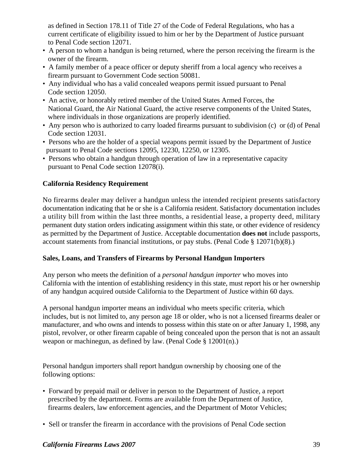as defined in Section 178.11 of Title 27 of the Code of Federal Regulations, who has a current certificate of eligibility issued to him or her by the Department of Justice pursuant to Penal Code section 12071.

- A person to whom a handgun is being returned, where the person receiving the firearm is the owner of the firearm.
- A family member of a peace officer or deputy sheriff from a local agency who receives a firearm pursuant to Government Code section 50081.
- Any individual who has a valid concealed weapons permit issued pursuant to Penal Code section 12050.
- An active, or honorably retired member of the United States Armed Forces, the National Guard, the Air National Guard, the active reserve components of the United States, where individuals in those organizations are properly identified.
- Any person who is authorized to carry loaded firearms pursuant to subdivision (c) or (d) of Penal Code section 12031.
- Persons who are the holder of a special weapons permit issued by the Department of Justice pursuant to Penal Code sections 12095, 12230, 12250, or 12305.
- Persons who obtain a handgun through operation of law in a representative capacity pursuant to Penal Code section 12078(i).

#### **California Residency Requirement**

No firearms dealer may deliver a handgun unless the intended recipient presents satisfactory documentation indicating that he or she is a California resident. Satisfactory documentation includes a utility bill from within the last three months, a residential lease, a property deed, military permanent duty station orders indicating assignment within this state, or other evidence of residency as permitted by the Department of Justice. Acceptable documentation **does not** include passports, account statements from financial institutions, or pay stubs. (Penal Code § 12071(b)(8).)

#### **Sales, Loans, and Transfers of Firearms by Personal Handgun Importers**

Any person who meets the definition of a *personal handgun importer* who moves into California with the intention of establishing residency in this state, must report his or her ownership of any handgun acquired outside California to the Department of Justice within 60 days.

A personal handgun importer means an individual who meets specific criteria, which includes, but is not limited to, any person age 18 or older, who is not a licensed firearms dealer or manufacturer, and who owns and intends to possess within this state on or after January 1, 1998, any pistol, revolver, or other firearm capable of being concealed upon the person that is not an assault weapon or machinegun, as defined by law. (Penal Code § 12001(n).)

Personal handgun importers shall report handgun ownership by choosing one of the following options:

- Forward by prepaid mail or deliver in person to the Department of Justice, a report prescribed by the department. Forms are available from the Department of Justice, firearms dealers, law enforcement agencies, and the Department of Motor Vehicles;
- Sell or transfer the firearm in accordance with the provisions of Penal Code section

#### *California Firearms Laws 2007* 39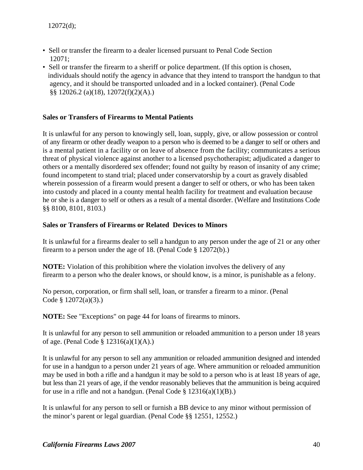- Sell or transfer the firearm to a dealer licensed pursuant to Penal Code Section 12071;
- Sell or transfer the firearm to a sheriff or police department. (If this option is chosen, individuals should notify the agency in advance that they intend to transport the handgun to that agency, and it should be transported unloaded and in a locked container). (Penal Code §§ 12026.2 (a)(18), 12072(f)(2)(A).)

#### **Sales or Transfers of Firearms to Mental Patients**

It is unlawful for any person to knowingly sell, loan, supply, give, or allow possession or control of any firearm or other deadly weapon to a person who is deemed to be a danger to self or others and is a mental patient in a facility or on leave of absence from the facility; communicates a serious threat of physical violence against another to a licensed psychotherapist; adjudicated a danger to others or a mentally disordered sex offender; found not guilty by reason of insanity of any crime; found incompetent to stand trial; placed under conservatorship by a court as gravely disabled wherein possession of a firearm would present a danger to self or others, or who has been taken into custody and placed in a county mental health facility for treatment and evaluation because he or she is a danger to self or others as a result of a mental disorder. (Welfare and Institutions Code §§ 8100, 8101, 8103.)

#### **Sales or Transfers of Firearms or Related Devices to Minors**

It is unlawful for a firearms dealer to sell a handgun to any person under the age of 21 or any other firearm to a person under the age of 18. (Penal Code § 12072(b).)

**NOTE:** Violation of this prohibition where the violation involves the delivery of any firearm to a person who the dealer knows, or should know, is a minor, is punishable as a felony.

No person, corporation, or firm shall sell, loan, or transfer a firearm to a minor. (Penal Code § 12072(a)(3).)

**NOTE:** See "Exceptions" on page 44 for loans of firearms to minors.

It is unlawful for any person to sell ammunition or reloaded ammunition to a person under 18 years of age. (Penal Code § 12316(a)(1)(A).)

It is unlawful for any person to sell any ammunition or reloaded ammunition designed and intended for use in a handgun to a person under 21 years of age. Where ammunition or reloaded ammunition may be used in both a rifle and a handgun it may be sold to a person who is at least 18 years of age, but less than 21 years of age, if the vendor reasonably believes that the ammunition is being acquired for use in a rifle and not a handgun. (Penal Code  $\S 12316(a)(1)(B)$ .)

It is unlawful for any person to sell or furnish a BB device to any minor without permission of the minor's parent or legal guardian. (Penal Code §§ 12551, 12552.)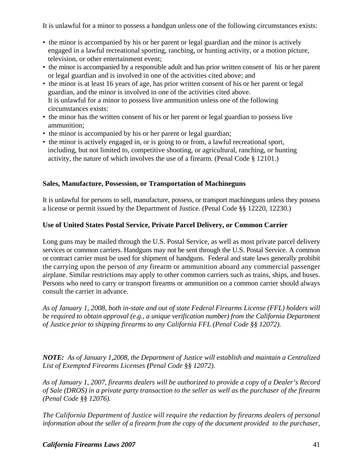It is unlawful for a minor to possess a handgun unless one of the following circumstances exists:

- the minor is accompanied by his or her parent or legal guardian and the minor is actively engaged in a lawful recreational sporting, ranching, or hunting activity, or a motion picture, television, or other entertainment event;
- the minor is accompanied by a responsible adult and has prior written consent of his or her parent or legal guardian and is involved in one of the activities cited above; and
- the minor is at least 16 years of age, has prior written consent of his or her parent or legal guardian, and the minor is involved in one of the activities cited above. It is unlawful for a minor to possess live ammunition unless one of the following circumstances exists:
- the minor has the written consent of his or her parent or legal guardian to possess live ammunition;
- the minor is accompanied by his or her parent or legal guardian;
- the minor is actively engaged in, or is going to or from, a lawful recreational sport, including, but not limited to, competitive shooting, or agricultural, ranching, or hunting activity, the nature of which involves the use of a firearm. (Penal Code § 12101.)

#### **Sales, Manufacture, Possession, or Transportation of Machineguns**

It is unlawful for persons to sell, manufacture, possess, or transport machineguns unless they possess a license or permit issued by the Department of Justice. (Penal Code §§ 12220, 12230.)

## **Use of United States Postal Service, Private Parcel Delivery, or Common Carrier**

Long guns may be mailed through the U.S. Postal Service, as well as most private parcel delivery services or common carriers. Handguns may not be sent through the U.S. Postal Service. A common or contract carrier must be used for shipment of handguns. Federal and state laws generally prohibit the carrying upon the person of *any* firearm or ammunition aboard any commercial passenger airplane. Similar restrictions may apply to other common carriers such as trains, ships, and buses. Persons who need to carry or transport firearms or ammunition on a common carrier should always consult the carrier in advance.

*As of January 1, 2008, both in-state and out of state Federal Firearms License (FFL) holders will be required to obtain approval (e.g., a unique verification number) from the California Department of Justice prior to shipping firearms to any California FFL (Penal Code §§ 12072).*

*NOTE: As of January 1,2008, the Department of Justice will establish and maintain a Centralized List of Exempted Firearms Licenses (Penal Code §§ 12072).*

*As of January 1, 2007, firearms dealers will be authorized to provide a copy of a Dealer's Record of Sale (DROS) in a private party transaction to the seller as well as the purchaser of the firearm (Penal Code §§ 12076).*

*The California Department of Justice will require the redaction by firearms dealers of personal information about the seller of a firearm from the copy of the document provided to the purchaser,*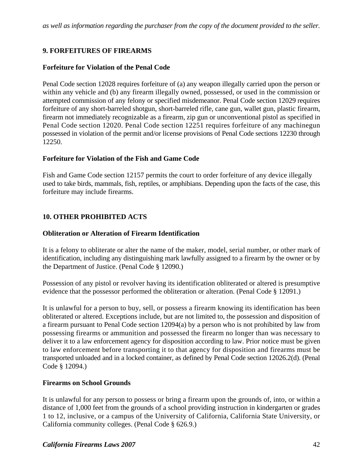*as well as information regarding the purchaser from the copy of the document provided to the seller.*

## **9. FORFEITURES OF FIREARMS**

#### **Forfeiture for Violation of the Penal Code**

Penal Code section 12028 requires forfeiture of (a) any weapon illegally carried upon the person or within any vehicle and (b) any firearm illegally owned, possessed, or used in the commission or attempted commission of any felony or specified misdemeanor. Penal Code section 12029 requires forfeiture of any short-barreled shotgun, short-barreled rifle, cane gun, wallet gun, plastic firearm, firearm not immediately recognizable as a firearm, zip gun or unconventional pistol as specified in Penal Code section 12020. Penal Code section 12251 requires forfeiture of any machinegun possessed in violation of the permit and/or license provisions of Penal Code sections 12230 through 12250.

#### **Forfeiture for Violation of the Fish and Game Code**

Fish and Game Code section 12157 permits the court to order forfeiture of any device illegally used to take birds, mammals, fish, reptiles, or amphibians. Depending upon the facts of the case, this forfeiture may include firearms.

## **10. OTHER PROHIBITED ACTS**

#### **Obliteration or Alteration of Firearm Identification**

It is a felony to obliterate or alter the name of the maker, model, serial number, or other mark of identification, including any distinguishing mark lawfully assigned to a firearm by the owner or by the Department of Justice. (Penal Code § 12090.)

Possession of any pistol or revolver having its identification obliterated or altered is presumptive evidence that the possessor performed the obliteration or alteration. (Penal Code § 12091.)

It is unlawful for a person to buy, sell, or possess a firearm knowing its identification has been obliterated or altered. Exceptions include, but are not limited to, the possession and disposition of a firearm pursuant to Penal Code section 12094(a) by a person who is not prohibited by law from possessing firearms or ammunition and possessed the firearm no longer than was necessary to deliver it to a law enforcement agency for disposition according to law. Prior notice must be given to law enforcement before transporting it to that agency for disposition and firearms must be transported unloaded and in a locked container, as defined by Penal Code section 12026.2(d). (Penal Code § 12094.)

#### **Firearms on School Grounds**

It is unlawful for any person to possess or bring a firearm upon the grounds of, into, or within a distance of 1,000 feet from the grounds of a school providing instruction in kindergarten or grades 1 to 12, inclusive, or a campus of the University of California, California State University, or California community colleges. (Penal Code § 626.9.)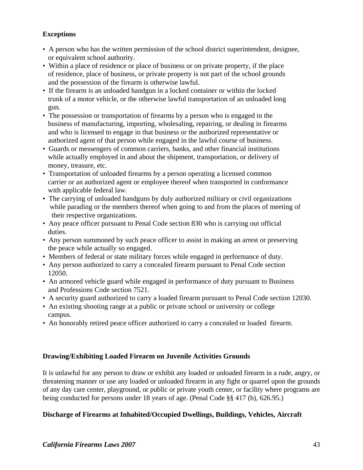## **Exceptions**

- A person who has the written permission of the school district superintendent, designee, or equivalent school authority.
- Within a place of residence or place of business or on private property, if the place of residence, place of business, or private property is not part of the school grounds and the possession of the firearm is otherwise lawful.
- If the firearm is an unloaded handgun in a locked container or within the locked trunk of a motor vehicle, or the otherwise lawful transportation of an unloaded long gun.
- The possession or transportation of firearms by a person who is engaged in the business of manufacturing, importing, wholesaling, repairing, or dealing in firearms and who is licensed to engage in that business or the authorized representative or authorized agent of that person while engaged in the lawful course of business.
- Guards or messengers of common carriers, banks, and other financial institutions while actually employed in and about the shipment, transportation, or delivery of money, treasure, etc.
- Transportation of unloaded firearms by a person operating a licensed common carrier or an authorized agent or employee thereof when transported in conformance with applicable federal law.
- The carrying of unloaded handguns by duly authorized military or civil organizations while parading or the members thereof when going to and from the places of meeting of their respective organizations.
- Any peace officer pursuant to Penal Code section 830 who is carrying out official duties.
- Any person summoned by such peace officer to assist in making an arrest or preserving the peace while actually so engaged.
- Members of federal or state military forces while engaged in performance of duty.
- Any person authorized to carry a concealed firearm pursuant to Penal Code section 12050.
- An armored vehicle guard while engaged in performance of duty pursuant to Business and Professions Code section 7521.
- A security guard authorized to carry a loaded firearm pursuant to Penal Code section 12030.
- An existing shooting range at a public or private school or university or college campus.
- An honorably retired peace officer authorized to carry a concealed or loaded firearm.

#### **Drawing/Exhibiting Loaded Firearm on Juvenile Activities Grounds**

It is unlawful for any person to draw or exhibit any loaded or unloaded firearm in a rude, angry, or threatening manner or use any loaded or unloaded firearm in any fight or quarrel upon the grounds of any day care center, playground, or public or private youth center, or facility where programs are being conducted for persons under 18 years of age. (Penal Code §§ 417 (b), 626.95.)

#### **Discharge of Firearms at Inhabited/Occupied Dwellings, Buildings, Vehicles, Aircraft**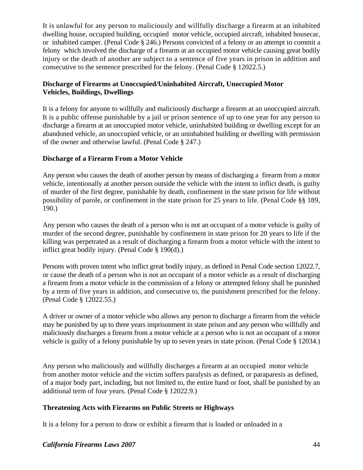It is unlawful for any person to maliciously and willfully discharge a firearm at an inhabited dwelling house, occupied building, occupied motor vehicle, occupied aircraft, inhabited housecar, or inhabited camper. (Penal Code § 246.) Persons convicted of a felony or an attempt to commit a felony which involved the discharge of a firearm at an occupied motor vehicle causing great bodily injury or the death of another are subject to a sentence of five years in prison in addition and consecutive to the sentence prescribed for the felony. (Penal Code § 12022.5.)

#### **Discharge of Firearms at Unoccupied/Uninhabited Aircraft, Unoccupied Motor Vehicles, Buildings, Dwellings**

It is a felony for anyone to willfully and maliciously discharge a firearm at an unoccupied aircraft. It is a public offense punishable by a jail or prison sentence of up to one year for any person to discharge a firearm at an unoccupied motor vehicle, uninhabited building or dwelling except for an abandoned vehicle, an unoccupied vehicle, or an uninhabited building or dwelling with permission of the owner and otherwise lawful. (Penal Code § 247.)

#### **Discharge of a Firearm From a Motor Vehicle**

Any person who causes the death of another person by means of discharging a firearm from a motor vehicle, intentionally at another person outside the vehicle with the intent to inflict death, is guilty of murder of the first degree, punishable by death, confinement in the state prison for life without possibility of parole, or confinement in the state prison for 25 years to life. (Penal Code §§ 189, 190.)

Any person who causes the death of a person who is not an occupant of a motor vehicle is guilty of murder of the second degree, punishable by confinement in state prison for 20 years to life if the killing was perpetrated as a result of discharging a firearm from a motor vehicle with the intent to inflict great bodily injury. (Penal Code § 190(d).)

Persons with proven intent who inflict great bodily injury, as defined in Penal Code section 12022.7, or cause the death of a person who is not an occupant of a motor vehicle as a result of discharging a firearm from a motor vehicle in the commission of a felony or attempted felony shall be punished by a term of five years in addition, and consecutive to, the punishment prescribed for the felony. (Penal Code § 12022.55.)

A driver or owner of a motor vehicle who allows any person to discharge a firearm from the vehicle may be punished by up to three years imprisonment in state prison and any person who willfully and maliciously discharges a firearm from a motor vehicle at a person who is not an occupant of a motor vehicle is guilty of a felony punishable by up to seven years in state prison. (Penal Code § 12034.)

Any person who maliciously and willfully discharges a firearm at an occupied motor vehicle from another motor vehicle and the victim suffers paralysis as defined, or paraparesis as defined, of a major body part, including, but not limited to, the entire hand or foot, shall be punished by an additional term of four years. (Penal Code § 12022.9.)

#### **Threatening Acts with Firearms on Public Streets or Highways**

It is a felony for a person to draw or exhibit a firearm that is loaded or unloaded in a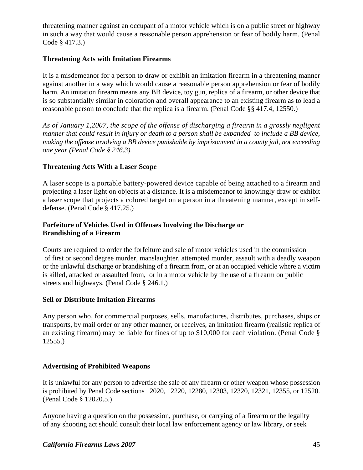threatening manner against an occupant of a motor vehicle which is on a public street or highway in such a way that would cause a reasonable person apprehension or fear of bodily harm. (Penal Code § 417.3.)

#### **Threatening Acts with Imitation Firearms**

It is a misdemeanor for a person to draw or exhibit an imitation firearm in a threatening manner against another in a way which would cause a reasonable person apprehension or fear of bodily harm. An imitation firearm means any BB device, toy gun, replica of a firearm, or other device that is so substantially similar in coloration and overall appearance to an existing firearm as to lead a reasonable person to conclude that the replica is a firearm. (Penal Code §§ 417.4, 12550.)

*As of January 1,2007, the scope of the offense of discharging a firearm in a grossly negligent manner that could result in injury or death to a person shall be expanded to include a BB device, making the offense involving a BB device punishable by imprisonment in a county jail, not exceeding one year (Penal Code § 246.3).*

#### **Threatening Acts With a Laser Scope**

A laser scope is a portable battery-powered device capable of being attached to a firearm and projecting a laser light on objects at a distance. It is a misdemeanor to knowingly draw or exhibit a laser scope that projects a colored target on a person in a threatening manner, except in selfdefense. (Penal Code § 417.25.)

#### **Forfeiture of Vehicles Used in Offenses Involving the Discharge or Brandishing of a Firearm**

Courts are required to order the forfeiture and sale of motor vehicles used in the commission of first or second degree murder, manslaughter, attempted murder, assault with a deadly weapon or the unlawful discharge or brandishing of a firearm from, or at an occupied vehicle where a victim is killed, attacked or assaulted from, or in a motor vehicle by the use of a firearm on public streets and highways. (Penal Code § 246.1.)

#### **Sell or Distribute Imitation Firearms**

Any person who, for commercial purposes, sells, manufactures, distributes, purchases, ships or transports, by mail order or any other manner, or receives, an imitation firearm (realistic replica of an existing firearm) may be liable for fines of up to \$10,000 for each violation. (Penal Code § 12555.)

#### **Advertising of Prohibited Weapons**

It is unlawful for any person to advertise the sale of any firearm or other weapon whose possession is prohibited by Penal Code sections 12020, 12220, 12280, 12303, 12320, 12321, 12355, or 12520. (Penal Code § 12020.5.)

Anyone having a question on the possession, purchase, or carrying of a firearm or the legality of any shooting act should consult their local law enforcement agency or law library, or seek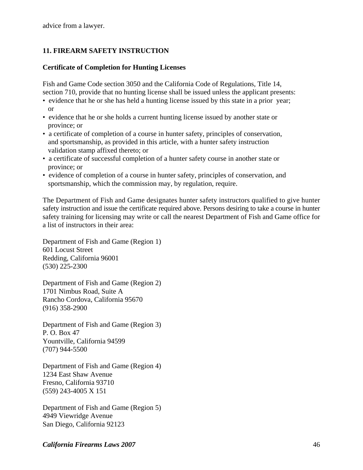advice from a lawyer.

## **11. FIREARM SAFETY INSTRUCTION**

#### **Certificate of Completion for Hunting Licenses**

Fish and Game Code section 3050 and the California Code of Regulations, Title 14, section 710, provide that no hunting license shall be issued unless the applicant presents:

- evidence that he or she has held a hunting license issued by this state in a prior year; or
- evidence that he or she holds a current hunting license issued by another state or province; or
- a certificate of completion of a course in hunter safety, principles of conservation, and sportsmanship, as provided in this article, with a hunter safety instruction validation stamp affixed thereto; or
- a certificate of successful completion of a hunter safety course in another state or province; or
- evidence of completion of a course in hunter safety, principles of conservation, and sportsmanship, which the commission may, by regulation, require.

The Department of Fish and Game designates hunter safety instructors qualified to give hunter safety instruction and issue the certificate required above. Persons desiring to take a course in hunter safety training for licensing may write or call the nearest Department of Fish and Game office for a list of instructors in their area:

Department of Fish and Game (Region 1) 601 Locust Street Redding, California 96001 (530) 225-2300

Department of Fish and Game (Region 2) 1701 Nimbus Road, Suite A Rancho Cordova, California 95670 (916) 358-2900

Department of Fish and Game (Region 3) P. O. Box 47 Yountville, California 94599 (707) 944-5500

Department of Fish and Game (Region 4) 1234 East Shaw Avenue Fresno, California 93710 (559) 243-4005 X 151

Department of Fish and Game (Region 5) 4949 Viewridge Avenue San Diego, California 92123

*California Firearms Laws 2007* 46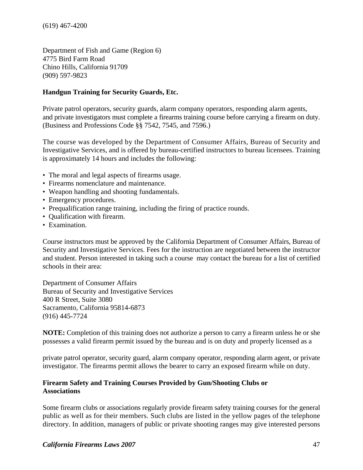Department of Fish and Game (Region 6) 4775 Bird Farm Road Chino Hills, California 91709 (909) 597-9823

#### **Handgun Training for Security Guards, Etc.**

Private patrol operators, security guards, alarm company operators, responding alarm agents, and private investigators must complete a firearms training course before carrying a firearm on duty. (Business and Professions Code §§ 7542, 7545, and 7596.)

The course was developed by the Department of Consumer Affairs, Bureau of Security and Investigative Services, and is offered by bureau-certified instructors to bureau licensees. Training is approximately 14 hours and includes the following:

- The moral and legal aspects of firearms usage.
- Firearms nomenclature and maintenance.
- Weapon handling and shooting fundamentals.
- Emergency procedures.
- Prequalification range training, including the firing of practice rounds.
- Qualification with firearm.
- Examination.

Course instructors must be approved by the California Department of Consumer Affairs, Bureau of Security and Investigative Services. Fees for the instruction are negotiated between the instructor and student. Person interested in taking such a course may contact the bureau for a list of certified schools in their area:

Department of Consumer Affairs Bureau of Security and Investigative Services 400 R Street, Suite 3080 Sacramento, California 95814-6873 (916) 445-7724

**NOTE:** Completion of this training does not authorize a person to carry a firearm unless he or she possesses a valid firearm permit issued by the bureau and is on duty and properly licensed as a

private patrol operator, security guard, alarm company operator, responding alarm agent, or private investigator. The firearms permit allows the bearer to carry an exposed firearm while on duty.

#### **Firearm Safety and Training Courses Provided by Gun/Shooting Clubs or Associations**

Some firearm clubs or associations regularly provide firearm safety training courses for the general public as well as for their members. Such clubs are listed in the yellow pages of the telephone directory. In addition, managers of public or private shooting ranges may give interested persons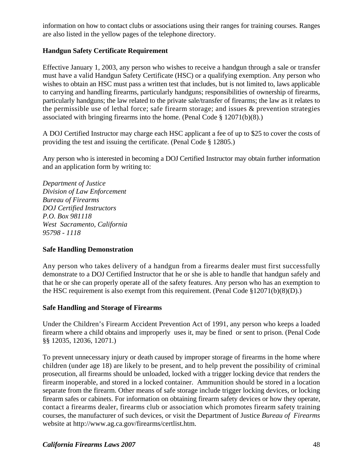information on how to contact clubs or associations using their ranges for training courses. Ranges are also listed in the yellow pages of the telephone directory.

#### **Handgun Safety Certificate Requirement**

Effective January 1, 2003, any person who wishes to receive a handgun through a sale or transfer must have a valid Handgun Safety Certificate (HSC) or a qualifying exemption. Any person who wishes to obtain an HSC must pass a written test that includes, but is not limited to, laws applicable to carrying and handling firearms, particularly handguns; responsibilities of ownership of firearms, particularly handguns; the law related to the private sale/transfer of firearms; the law as it relates to the permissible use of lethal force; safe firearm storage; and issues  $\&$  prevention strategies associated with bringing firearms into the home. (Penal Code § 12071(b)(8).)

A DOJ Certified Instructor may charge each HSC applicant a fee of up to \$25 to cover the costs of providing the test and issuing the certificate. (Penal Code § 12805.)

Any person who is interested in becoming a DOJ Certified Instructor may obtain further information and an application form by writing to:

*Department of Justice Division of Law Enforcement Bureau of Firearms DOJ Certified Instructors P.O. Box 981118 West Sacramento, California 95798 - 1118*

#### **Safe Handling Demonstration**

Any person who takes delivery of a handgun from a firearms dealer must first successfully demonstrate to a DOJ Certified Instructor that he or she is able to handle that handgun safely and that he or she can properly operate all of the safety features. Any person who has an exemption to the HSC requirement is also exempt from this requirement. (Penal Code §12071(b)(8)(D).)

#### **Safe Handling and Storage of Firearms**

Under the Children's Firearm Accident Prevention Act of 1991, any person who keeps a loaded firearm where a child obtains and improperly uses it, may be fined or sent to prison. (Penal Code §§ 12035, 12036, 12071.)

To prevent unnecessary injury or death caused by improper storage of firearms in the home where children (under age 18) are likely to be present, and to help prevent the possibility of criminal prosecution, all firearms should be unloaded, locked with a trigger locking device that renders the firearm inoperable, and stored in a locked container. Ammunition should be stored in a location separate from the firearm. Other means of safe storage include trigger locking devices, or locking firearm safes or cabinets. For information on obtaining firearm safety devices or how they operate, contact a firearms dealer, firearms club or association which promotes firearm safety training courses, the manufacturer of such devices, or visit the Department of Justice *Bureau of Firearms* website at http://www.ag.ca.gov/firearms/certlist.htm.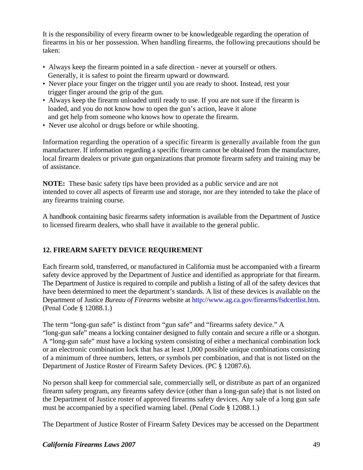It is the responsibility of every firearm owner to be knowledgeable regarding the operation of firearms in his or her possession. When handling firearms, the following precautions should be taken:

- Always keep the firearm pointed in a safe direction never at yourself or others. Generally, it is safest to point the firearm upward or downward.
- Never place your finger on the trigger until you are ready to shoot. Instead, rest your trigger finger around the grip of the gun.
- Always keep the firearm unloaded until ready to use. If you are not sure if the firearm is loaded, and you do not know how to open the gun's action, leave it alone and get help from someone who knows how to operate the firearm.
- Never use alcohol or drugs before or while shooting.

Information regarding the operation of a specific firearm is generally available from the gun manufacturer. If information regarding a specific firearm cannot be obtained from the manufacturer, local firearm dealers or private gun organizations that promote firearm safety and training may be of assistance.

**NOTE:** These basic safety tips have been provided as a public service and are not intended to cover all aspects of firearm use and storage, nor are they intended to take the place of any firearms training course.

A handbook containing basic firearms safety information is available from the Department of Justice to licensed firearm dealers, who shall have it available to the general public.

## **12. FIREARM SAFETY DEVICE REQUIREMENT**

Each firearm sold, transferred, or manufactured in California must be accompanied with a firearm safety device approved by the Department of Justice and identified as appropriate for that firearm. The Department of Justice is required to compile and publish a listing of all of the safety devices that have been determined to meet the department's standards. A list of these devices is available on the Department of Justice *Bureau of Firearms* website at http://www.ag.ca.gov/firearms/fsdcertlist.htm. (Penal Code § 12088.1.)

The term "long-gun safe" is distinct from "gun safe" and "firearms safety device." A "long-gun safe" means a locking container designed to fully contain and secure a rifle or a shotgun. A "long-gun safe" must have a locking system consisting of either a mechanical combination lock or an electronic combination lock that has at least 1,000 possible unique combinations consisting of a minimum of three numbers, letters, or symbols per combination, and that is not listed on the Department of Justice Roster of Firearm Safety Devices. (PC § 12087.6).

No person shall keep for commercial sale, commercially sell, or distribute as part of an organized firearm safety program, any firearms safety device (other than a long-gun safe) that is not listed on the Department of Justice roster of approved firearms safety devices. Any sale of a long gun safe must be accompanied by a specified warning label. (Penal Code § 12088.1.)

The Department of Justice Roster of Firearm Safety Devices may be accessed on the Department